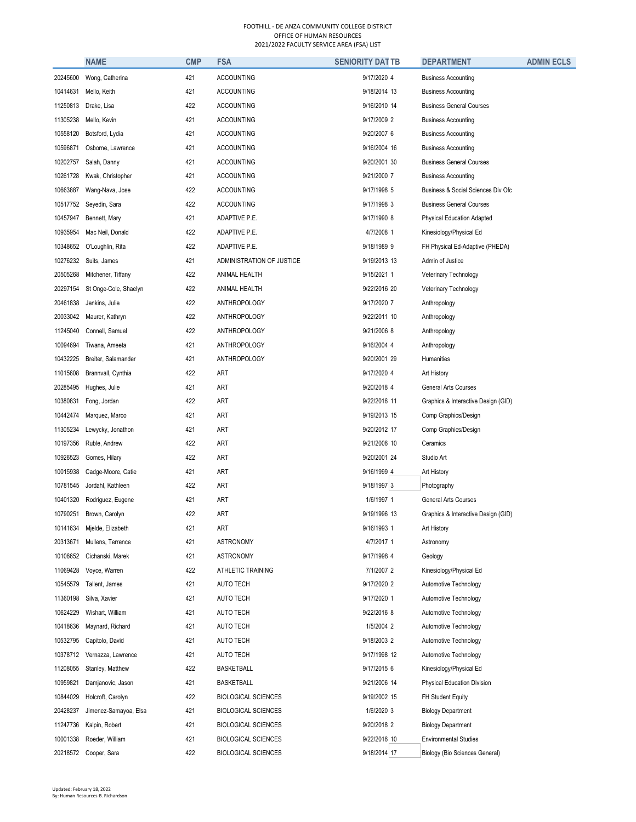|          | <b>NAME</b>           | <b>CMP</b> | <b>FSA</b>                 | <b>SENIORITY DAT TB</b> | <b>DEPARTMENT</b>                   | <b>ADMIN ECLS</b> |
|----------|-----------------------|------------|----------------------------|-------------------------|-------------------------------------|-------------------|
| 20245600 | Wong, Catherina       | 421        | <b>ACCOUNTING</b>          | 9/17/2020 4             | <b>Business Accounting</b>          |                   |
| 10414631 | Mello, Keith          | 421        | <b>ACCOUNTING</b>          | 9/18/2014 13            | <b>Business Accounting</b>          |                   |
| 11250813 | Drake, Lisa           | 422        | <b>ACCOUNTING</b>          | 9/16/2010 14            | <b>Business General Courses</b>     |                   |
| 11305238 | Mello, Kevin          | 421        | <b>ACCOUNTING</b>          | 9/17/2009 2             | <b>Business Accounting</b>          |                   |
| 10558120 | Botsford, Lydia       | 421        | <b>ACCOUNTING</b>          | 9/20/2007 6             | <b>Business Accounting</b>          |                   |
| 10596871 | Osborne, Lawrence     | 421        | <b>ACCOUNTING</b>          | 9/16/2004 16            | <b>Business Accounting</b>          |                   |
| 10202757 | Salah, Danny          | 421        | <b>ACCOUNTING</b>          | 9/20/2001 30            | <b>Business General Courses</b>     |                   |
| 10261728 | Kwak, Christopher     | 421        | <b>ACCOUNTING</b>          | 9/21/2000 7             | <b>Business Accounting</b>          |                   |
| 10663887 | Wang-Nava, Jose       | 422        | <b>ACCOUNTING</b>          | 9/17/1998 5             | Business & Social Sciences Div Ofc  |                   |
| 10517752 | Seyedin, Sara         | 422        | <b>ACCOUNTING</b>          | 9/17/1998 3             | <b>Business General Courses</b>     |                   |
| 10457947 | Bennett, Mary         | 421        | ADAPTIVE P.E.              | 9/17/1990 8             | <b>Physical Education Adapted</b>   |                   |
| 10935954 | Mac Neil, Donald      | 422        | ADAPTIVE P.E.              | 4/7/2008 1              | Kinesiology/Physical Ed             |                   |
| 10348652 | O'Loughlin, Rita      | 422        | ADAPTIVE P.E.              | 9/18/1989 9             | FH Physical Ed-Adaptive (PHEDA)     |                   |
| 10276232 | Suits, James          | 421        | ADMINISTRATION OF JUSTICE  | 9/19/2013 13            | Admin of Justice                    |                   |
| 20505268 | Mitchener, Tiffany    | 422        | ANIMAL HEALTH              | 9/15/2021 1             | Veterinary Technology               |                   |
| 20297154 | St Onge-Cole, Shaelyn | 422        | ANIMAL HEALTH              | 9/22/2016 20            | Veterinary Technology               |                   |
| 20461838 | Jenkins, Julie        | 422        | ANTHROPOLOGY               | 9/17/2020 7             | Anthropology                        |                   |
| 20033042 | Maurer, Kathryn       | 422        | ANTHROPOLOGY               | 9/22/2011 10            | Anthropology                        |                   |
| 11245040 | Connell, Samuel       | 422        | ANTHROPOLOGY               | 9/21/2006 8             | Anthropology                        |                   |
| 10094694 | Tiwana, Ameeta        | 421        | ANTHROPOLOGY               | 9/16/2004 4             | Anthropology                        |                   |
| 10432225 | Breiter, Salamander   | 421        | ANTHROPOLOGY               | 9/20/2001 29            | Humanities                          |                   |
| 11015608 | Brannvall, Cynthia    | 422        | ART                        | 9/17/2020 4             | Art History                         |                   |
| 20285495 | Hughes, Julie         | 421        | ART                        | 9/20/2018 4             | <b>General Arts Courses</b>         |                   |
| 10380831 | Fong, Jordan          | 422        | ART                        | 9/22/2016 11            | Graphics & Interactive Design (GID) |                   |
| 10442474 | Marquez, Marco        | 421        | ART                        | 9/19/2013 15            | Comp Graphics/Design                |                   |
| 11305234 | Lewycky, Jonathon     | 421        | ART                        | 9/20/2012 17            | Comp Graphics/Design                |                   |
| 10197356 | Ruble, Andrew         | 422        | ART                        | 9/21/2006 10            | Ceramics                            |                   |
| 10926523 | Gomes, Hilary         | 422        | ART                        | 9/20/2001 24            | Studio Art                          |                   |
| 10015938 | Cadge-Moore, Catie    | 421        | ART                        | 9/16/1999 4             | Art History                         |                   |
| 10781545 | Jordahl, Kathleen     | 422        | ART                        | $9/18/1997$ 3           | Photography                         |                   |
| 10401320 | Rodriguez, Eugene     | 421        | ART                        | 1/6/1997 1              | <b>General Arts Courses</b>         |                   |
| 10790251 | Brown, Carolyn        | 422        | ART                        | 9/19/1996 13            | Graphics & Interactive Design (GID) |                   |
| 10141634 | Mielde, Elizabeth     | 421        | ART                        | 9/16/1993 1             | Art History                         |                   |
| 20313671 | Mullens, Terrence     | 421        | <b>ASTRONOMY</b>           | 4/7/2017 1              | Astronomy                           |                   |
| 10106652 | Cichanski, Marek      | 421        | ASTRONOMY                  | 9/17/1998 4             | Geology                             |                   |
| 11069428 | Voyce, Warren         | 422        | ATHLETIC TRAINING          | 7/1/2007 2              | Kinesiology/Physical Ed             |                   |
| 10545579 | Tallent, James        | 421        | <b>AUTO TECH</b>           | 9/17/2020 2             | Automotive Technology               |                   |
| 11360198 | Silva, Xavier         | 421        | <b>AUTO TECH</b>           | 9/17/2020 1             | Automotive Technology               |                   |
| 10624229 | Wishart, William      | 421        | <b>AUTO TECH</b>           | 9/22/2016 8             | Automotive Technology               |                   |
| 10418636 | Maynard, Richard      | 421        | AUTO TECH                  | 1/5/2004 2              | Automotive Technology               |                   |
| 10532795 | Capitolo, David       | 421        | <b>AUTO TECH</b>           | 9/18/2003 2             | Automotive Technology               |                   |
| 10378712 | Vernazza, Lawrence    | 421        | AUTO TECH                  | 9/17/1998 12            | Automotive Technology               |                   |
| 11208055 | Stanley, Matthew      | 422        | <b>BASKETBALL</b>          | 9/17/2015 6             | Kinesiology/Physical Ed             |                   |
| 10959821 | Damjanovic, Jason     | 421        | <b>BASKETBALL</b>          | 9/21/2006 14            | Physical Education Division         |                   |
| 10844029 | Holcroft, Carolyn     | 422        | <b>BIOLOGICAL SCIENCES</b> | 9/19/2002 15            | FH Student Equity                   |                   |
| 20428237 | Jimenez-Samayoa, Elsa | 421        | <b>BIOLOGICAL SCIENCES</b> | 1/6/2020 3              | <b>Biology Department</b>           |                   |
| 11247736 | Kalpin, Robert        | 421        | <b>BIOLOGICAL SCIENCES</b> | 9/20/2018 2             | <b>Biology Department</b>           |                   |
| 10001338 | Roeder, William       | 421        | <b>BIOLOGICAL SCIENCES</b> | 9/22/2016 10            | <b>Environmental Studies</b>        |                   |
| 20218572 | Cooper, Sara          | 422        | <b>BIOLOGICAL SCIENCES</b> | 9/18/2014 17            | Biology (Bio Sciences General)      |                   |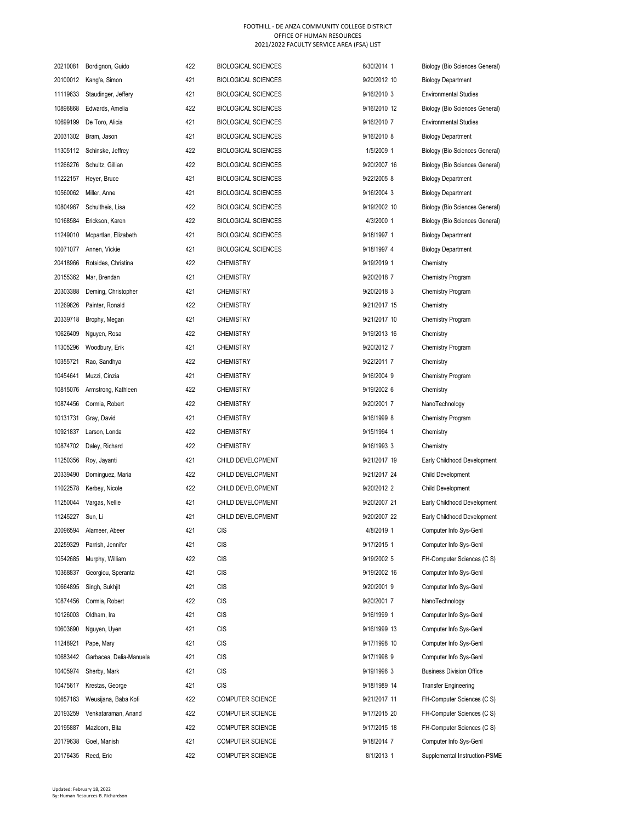| 20210081         | Bordignon, Guido        | 422 | BIOLOGICAL SCIENCES        | 6/30/2014 1  | Biology (Bio Sciences General)  |
|------------------|-------------------------|-----|----------------------------|--------------|---------------------------------|
| 20100012         | Kang'a, Simon           | 421 | BIOLOGICAL SCIENCES        | 9/20/2012 10 | <b>Biology Department</b>       |
| 11119633         | Staudinger, Jeffery     | 421 | <b>BIOLOGICAL SCIENCES</b> | 9/16/2010 3  | <b>Environmental Studies</b>    |
| 10896868         | Edwards, Amelia         | 422 | <b>BIOLOGICAL SCIENCES</b> | 9/16/2010 12 | Biology (Bio Sciences General)  |
| 10699199         | De Toro, Alicia         | 421 | <b>BIOLOGICAL SCIENCES</b> | 9/16/2010 7  | <b>Environmental Studies</b>    |
| 20031302         | Bram, Jason             | 421 | BIOLOGICAL SCIENCES        | 9/16/2010 8  | <b>Biology Department</b>       |
| 11305112         | Schinske, Jeffrey       | 422 | <b>BIOLOGICAL SCIENCES</b> | 1/5/2009 1   | Biology (Bio Sciences General)  |
| 11266276         | Schultz, Gillian        | 422 | BIOLOGICAL SCIENCES        | 9/20/2007 16 | Biology (Bio Sciences General)  |
| 11222157         | Heyer, Bruce            | 421 | BIOLOGICAL SCIENCES        | 9/22/2005 8  | <b>Biology Department</b>       |
| 10560062         | Miller, Anne            | 421 | <b>BIOLOGICAL SCIENCES</b> | 9/16/2004 3  | <b>Biology Department</b>       |
| 10804967         | Schultheis, Lisa        | 422 | BIOLOGICAL SCIENCES        | 9/19/2002 10 | Biology (Bio Sciences General)  |
| 10168584         | Erickson, Karen         | 422 | BIOLOGICAL SCIENCES        | 4/3/2000 1   | Biology (Bio Sciences General)  |
| 11249010         | Mcpartlan, Elizabeth    | 421 | BIOLOGICAL SCIENCES        | 9/18/1997 1  | <b>Biology Department</b>       |
| 10071077         | Annen, Vickie           | 421 | BIOLOGICAL SCIENCES        | 9/18/1997 4  | <b>Biology Department</b>       |
| 20418966         | Rotsides, Christina     | 422 | <b>CHEMISTRY</b>           | 9/19/2019 1  | Chemistry                       |
| 20155362         | Mar, Brendan            | 421 | <b>CHEMISTRY</b>           | 9/20/2018 7  | Chemistry Program               |
| 20303388         | Deming, Christopher     | 421 | <b>CHEMISTRY</b>           | 9/20/2018 3  | <b>Chemistry Program</b>        |
| 11269826         | Painter, Ronald         | 422 | <b>CHEMISTRY</b>           | 9/21/2017 15 | Chemistry                       |
| 20339718         | Brophy, Megan           | 421 | <b>CHEMISTRY</b>           | 9/21/2017 10 | <b>Chemistry Program</b>        |
| 10626409         | Nguyen, Rosa            | 422 | <b>CHEMISTRY</b>           | 9/19/2013 16 | Chemistry                       |
| 11305296         | Woodbury, Erik          | 421 | <b>CHEMISTRY</b>           | 9/20/2012 7  | Chemistry Program               |
| 10355721         | Rao, Sandhya            | 422 | <b>CHEMISTRY</b>           | 9/22/2011 7  | Chemistry                       |
| 10454641         | Muzzi, Cinzia           | 421 | <b>CHEMISTRY</b>           | 9/16/2004 9  | Chemistry Program               |
| 10815076         | Armstrong, Kathleen     | 422 | <b>CHEMISTRY</b>           | 9/19/2002 6  | Chemistry                       |
| 10874456         | Cormia, Robert          | 422 | CHEMISTRY                  | 9/20/2001 7  | NanoTechnology                  |
| 10131731         | Gray, David             | 421 | <b>CHEMISTRY</b>           | 9/16/1999 8  | Chemistry Program               |
| 10921837         | Larson, Londa           | 422 | <b>CHEMISTRY</b>           | 9/15/1994 1  | Chemistry                       |
| 10874702         | Daley, Richard          | 422 | <b>CHEMISTRY</b>           | 9/16/1993 3  | Chemistry                       |
| 11250356         | Roy, Jayanti            | 421 | CHILD DEVELOPMENT          | 9/21/2017 19 | Early Childhood Development     |
| 20339490         | Dominguez, Maria        | 422 | CHILD DEVELOPMENT          | 9/21/2017 24 | <b>Child Development</b>        |
| 11022578         | Kerbey, Nicole          | 422 | CHILD DEVELOPMENT          | 9/20/2012 2  | <b>Child Development</b>        |
| 11250044         | Vargas, Nellie          | 421 | CHILD DEVELOPMENT          | 9/20/2007 21 | Early Childhood Development     |
| 11245227 Sun, Li |                         | 421 | CHILD DEVELOPMENT          | 9/20/2007 22 | Early Childhood Development     |
| 20096594         | Alameer, Abeer          | 421 | <b>CIS</b>                 | 4/8/2019 1   | Computer Info Sys-Genl          |
| 20259329         | Parrish, Jennifer       | 421 | <b>CIS</b>                 | 9/17/2015 1  | Computer Info Sys-Genl          |
| 10542685         | Murphy, William         | 422 | <b>CIS</b>                 | 9/19/2002 5  | FH-Computer Sciences (C S)      |
| 10368837         | Georgiou, Speranta      | 421 | <b>CIS</b>                 | 9/19/2002 16 | Computer Info Sys-Genl          |
|                  |                         | 421 |                            |              | Computer Info Sys-Genl          |
| 10664895         | Singh, Sukhjit          |     | <b>CIS</b>                 | 9/20/2001 9  |                                 |
| 10874456         | Cormia, Robert          | 422 | CIS                        | 9/20/2001 7  | NanoTechnology                  |
| 10126003         | Oldham, Ira             | 421 | CIS                        | 9/16/1999 1  | Computer Info Sys-Genl          |
| 10603690         | Nguyen, Uyen            | 421 | CIS                        | 9/16/1999 13 | Computer Info Sys-Genl          |
| 11248921         | Pape, Mary              | 421 | <b>CIS</b>                 | 9/17/1998 10 | Computer Info Sys-Genl          |
| 10683442         | Garbacea, Delia-Manuela | 421 | CIS                        | 9/17/1998 9  | Computer Info Sys-Genl          |
| 10405974         | Sherby, Mark            | 421 | <b>CIS</b>                 | 9/19/1996 3  | <b>Business Division Office</b> |
| 10475617         | Krestas, George         | 421 | <b>CIS</b>                 | 9/18/1989 14 | <b>Transfer Engineering</b>     |
| 10657163         | Weusijana, Baba Kofi    | 422 | <b>COMPUTER SCIENCE</b>    | 9/21/2017 11 | FH-Computer Sciences (C S)      |
| 20193259         | Venkataraman, Anand     | 422 | <b>COMPUTER SCIENCE</b>    | 9/17/2015 20 | FH-Computer Sciences (C S)      |
| 20195887         | Mazloom, Bita           | 422 | <b>COMPUTER SCIENCE</b>    | 9/17/2015 18 | FH-Computer Sciences (C S)      |
| 20179638         | Goel, Manish            | 421 | <b>COMPUTER SCIENCE</b>    | 9/18/2014 7  | Computer Info Sys-Genl          |
| 20176435         | Reed, Eric              | 422 | <b>COMPUTER SCIENCE</b>    | 8/1/2013 1   | Supplemental Instruction-PSME   |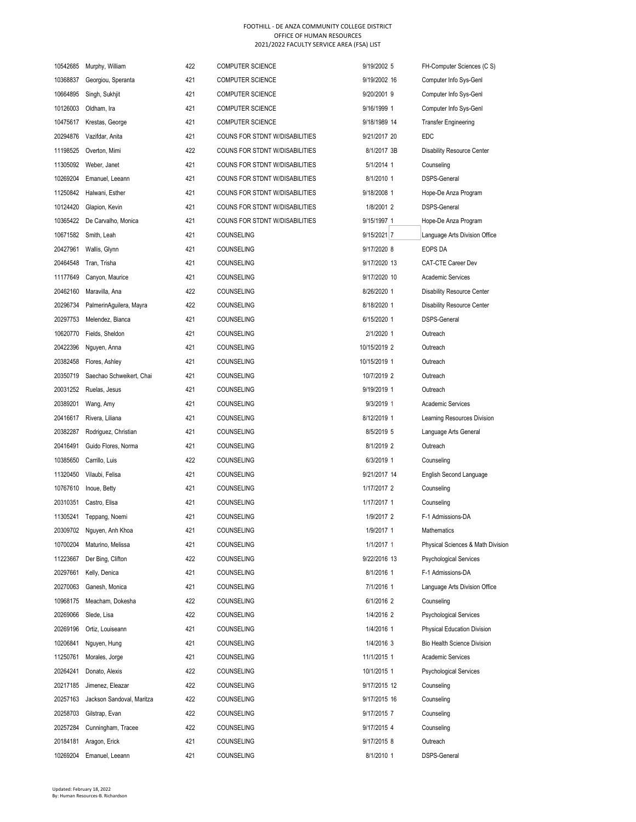| 10542685             | Murphy, William           | 422 | <b>COMPUTER SCIENCE</b>               | 9/19/2002 5                | FH-Computer Sciences (C S)                         |
|----------------------|---------------------------|-----|---------------------------------------|----------------------------|----------------------------------------------------|
| 10368837             | Georgiou, Speranta        | 421 | <b>COMPUTER SCIENCE</b>               | 9/19/2002 16               | Computer Info Sys-Genl                             |
| 10664895             | Singh, Sukhjit            | 421 | <b>COMPUTER SCIENCE</b>               | 9/20/2001 9                | Computer Info Sys-Genl                             |
| 10126003             | Oldham, Ira               | 421 | <b>COMPUTER SCIENCE</b>               | 9/16/1999 1                | Computer Info Sys-Genl                             |
| 10475617             | Krestas, George           | 421 | <b>COMPUTER SCIENCE</b>               | 9/18/1989 14               | <b>Transfer Engineering</b>                        |
| 20294876             | Vazifdar, Anita           | 421 | COUNS FOR STDNT W/DISABILITIES        | 9/21/2017 20               | EDC                                                |
| 11198525             | Overton, Mimi             | 422 | COUNS FOR STDNT W/DISABILITIES        | 8/1/2017 3B                | <b>Disability Resource Center</b>                  |
| 11305092             | Weber, Janet              | 421 | <b>COUNS FOR STDNT W/DISABILITIES</b> | 5/1/2014 1                 | Counseling                                         |
| 10269204             | Emanuel, Leeann           | 421 | COUNS FOR STDNT W/DISABILITIES        | 8/1/2010 1                 | <b>DSPS-General</b>                                |
| 11250842             | Halwani, Esther           | 421 | <b>COUNS FOR STDNT W/DISABILITIES</b> | 9/18/2008 1                | Hope-De Anza Program                               |
| 10124420             | Glapion, Kevin            | 421 | COUNS FOR STDNT W/DISABILITIES        | 1/8/2001 2                 | <b>DSPS-General</b>                                |
| 10365422             | De Carvalho, Monica       | 421 | COUNS FOR STDNT W/DISABILITIES        | 9/15/1997 1                | Hope-De Anza Program                               |
| 10671582             | Smith, Leah               | 421 | COUNSELING                            | $9/15/2021$ 7              | Language Arts Division Office                      |
| 20427961             | Wallis, Glynn             | 421 | COUNSELING                            | 9/17/2020 8                | EOPS DA                                            |
| 20464548             | Tran, Trisha              | 421 | COUNSELING                            | 9/17/2020 13               | CAT-CTE Career Dev                                 |
| 11177649             | Canyon, Maurice           | 421 | COUNSELING                            | 9/17/2020 10               | <b>Academic Services</b>                           |
| 20462160             | Maravilla, Ana            | 422 | COUNSELING                            | 8/26/2020 1                | <b>Disability Resource Center</b>                  |
| 20296734             | PalmerinAquilera, Mayra   | 422 | COUNSELING                            | 8/18/2020 1                | <b>Disability Resource Center</b>                  |
| 20297753             | Melendez, Bianca          | 421 | COUNSELING                            | 6/15/2020 1                | <b>DSPS-General</b>                                |
| 10620770             | Fields, Sheldon           | 421 | COUNSELING                            | 2/1/2020 1                 | Outreach                                           |
| 20422396             | Nguyen, Anna              | 421 | COUNSELING                            | 10/15/2019 2               | Outreach                                           |
| 20382458             | Flores, Ashley            | 421 | COUNSELING                            | 10/15/2019 1               | Outreach                                           |
| 20350719             | Saechao Schweikert, Chai  | 421 | COUNSELING                            | 10/7/2019 2                | Outreach                                           |
| 20031252             | Ruelas, Jesus             | 421 | COUNSELING                            | 9/19/2019 1                | Outreach                                           |
| 20389201             | Wang, Amy                 | 421 | <b>COUNSELING</b>                     | 9/3/2019 1                 | <b>Academic Services</b>                           |
| 20416617             | Rivera, Liliana           | 421 | <b>COUNSELING</b>                     | 8/12/2019 1                | Learning Resources Division                        |
| 20382287             | Rodriguez, Christian      | 421 | <b>COUNSELING</b>                     | 8/5/2019 5                 | Language Arts General                              |
| 20416491             | Guido Flores, Norma       | 421 | COUNSELING                            | 8/1/2019 2                 | Outreach                                           |
| 10385650             | Carrillo, Luis            | 422 | <b>COUNSELING</b>                     | 6/3/2019 1                 | Counseling                                         |
| 11320450             | Vilaubi, Felisa           | 421 | <b>COUNSELING</b>                     | 9/21/2017 14               | English Second Language                            |
| 10767610             | Inoue, Betty              | 421 | <b>COUNSELING</b>                     | 1/17/2017 2                | Counseling                                         |
| 20310351             | Castro, Elisa             | 421 | <b>COUNSELING</b>                     | 1/17/2017 1                | Counseling                                         |
| 11305241             | Teppang, Noemi            | 421 | COUNSELING                            | 1/9/2017 2                 | F-1 Admissions-DA                                  |
|                      |                           | 421 | COUNSELING                            | 1/9/2017 1                 | Mathematics                                        |
| 20309702<br>10700204 | Nguyen, Anh Khoa          | 421 |                                       |                            | Physical Sciences & Math Division                  |
|                      | Maturino, Melissa         | 422 | COUNSELING                            | 1/1/2017 1<br>9/22/2016 13 |                                                    |
| 11223667             | Der Bing, Clifton         | 421 | COUNSELING                            |                            | <b>Psychological Services</b>                      |
| 20297661             | Kelly, Denica             | 421 | COUNSELING<br><b>COUNSELING</b>       | 8/1/2016 1<br>7/1/2016 1   | F-1 Admissions-DA<br>Language Arts Division Office |
| 20270063<br>10968175 | Ganesh, Monica            | 422 |                                       |                            |                                                    |
|                      | Meacham, Dokesha          |     | COUNSELING                            | 6/1/2016 2<br>1/4/2016 2   | Counseling                                         |
| 20269066             | Slede, Lisa               | 422 | COUNSELING                            |                            | <b>Psychological Services</b>                      |
| 20269196             | Ortiz, Louiseann          | 421 | COUNSELING                            | 1/4/2016 1                 | Physical Education Division                        |
| 10206841             | Nguyen, Hung              | 421 | COUNSELING                            | 1/4/2016 3                 | <b>Bio Health Science Division</b>                 |
| 11250761             | Morales, Jorge            | 421 | COUNSELING                            | 11/1/2015 1                | <b>Academic Services</b>                           |
| 20264241             | Donato, Alexis            | 422 | COUNSELING                            | 10/1/2015 1                | <b>Psychological Services</b>                      |
| 20217185             | Jimenez, Eleazar          | 422 | COUNSELING                            | 9/17/2015 12               | Counseling                                         |
| 20257163             | Jackson Sandoval, Maritza | 422 | COUNSELING                            | 9/17/2015 16               | Counseling                                         |
| 20258703             | Gilstrap, Evan            | 422 | COUNSELING                            | 9/17/2015 7                | Counseling                                         |
| 20257284             | Cunningham, Tracee        | 422 | COUNSELING                            | 9/17/2015 4                | Counseling                                         |
| 20184181             | Aragon, Erick             | 421 | COUNSELING                            | 9/17/2015 8                | Outreach                                           |
| 10269204             | Emanuel, Leeann           | 421 | COUNSELING                            | 8/1/2010 1                 | DSPS-General                                       |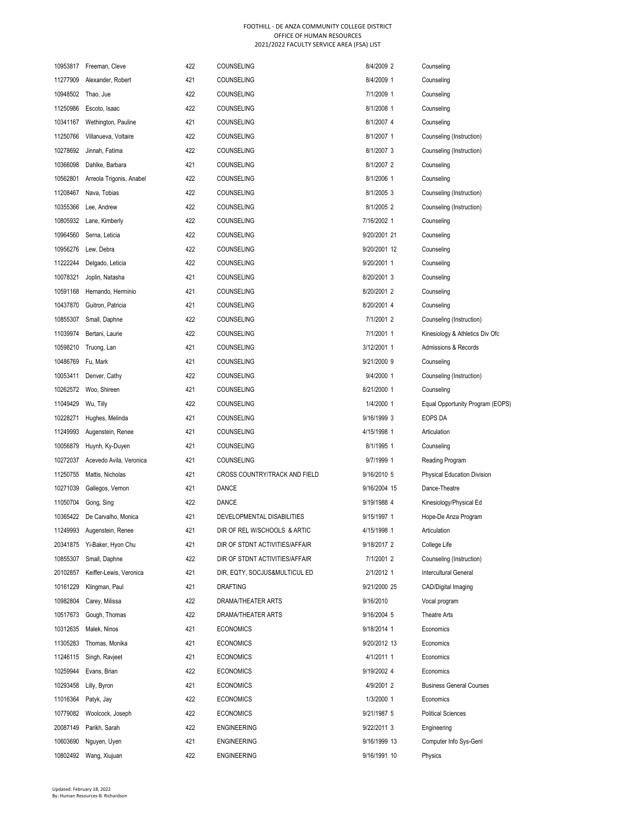|          | 10953817 Freeman, Cleve  | 422 | COUNSELING                           | 8/4/2009 2   | Counseling                         |
|----------|--------------------------|-----|--------------------------------------|--------------|------------------------------------|
| 11277909 | Alexander, Robert        | 421 | <b>COUNSELING</b>                    | 8/4/2009 1   | Counseling                         |
| 10948502 | Thao, Jue                | 422 | <b>COUNSELING</b>                    | 7/1/2009 1   | Counseling                         |
| 11250986 | Escoto, Isaac            | 422 | COUNSELING                           | 8/1/2008 1   | Counseling                         |
| 10341167 | Wethington, Pauline      | 421 | COUNSELING                           | 8/1/2007 4   | Counseling                         |
| 11250766 | Villanueva, Voltaire     | 422 | COUNSELING                           | 8/1/2007 1   | Counseling (Instruction)           |
| 10278692 | Jinnah, Fatima           | 422 | COUNSELING                           | 8/1/2007 3   | Counseling (Instruction)           |
| 10366098 | Dahlke, Barbara          | 421 | <b>COUNSELING</b>                    | 8/1/2007 2   | Counseling                         |
| 10562801 | Arreola Trigonis, Anabel | 422 | <b>COUNSELING</b>                    | 8/1/2006 1   | Counseling                         |
| 11208467 | Nava, Tobias             | 422 | <b>COUNSELING</b>                    | 8/1/2005 3   | Counseling (Instruction)           |
| 10355366 | Lee, Andrew              | 422 | <b>COUNSELING</b>                    | 8/1/2005 2   | Counseling (Instruction)           |
| 10805932 | Lane, Kimberly           | 422 | <b>COUNSELING</b>                    | 7/16/2002 1  | Counseling                         |
| 10964560 | Serna, Leticia           | 422 | <b>COUNSELING</b>                    | 9/20/2001 21 | Counseling                         |
| 10956276 | Lew, Debra               | 422 | <b>COUNSELING</b>                    | 9/20/2001 12 | Counseling                         |
| 11222244 | Delgado, Leticia         | 422 | <b>COUNSELING</b>                    | 9/20/2001 1  | Counseling                         |
| 10078321 | Joplin, Natasha          | 421 | <b>COUNSELING</b>                    | 8/20/2001 3  | Counseling                         |
| 10591168 | Hernando, Herminio       | 421 | <b>COUNSELING</b>                    | 8/20/2001 2  | Counseling                         |
| 10437870 | Guitron, Patricia        | 421 | <b>COUNSELING</b>                    | 8/20/2001 4  | Counseling                         |
| 10855307 | Small, Daphne            | 422 | <b>COUNSELING</b>                    | 7/1/2001 2   | Counseling (Instruction)           |
| 11039974 | Bertani, Laurie          | 422 | <b>COUNSELING</b>                    | 7/1/2001 1   | Kinesiology & Athletics Div Ofc    |
| 10598210 | Truong, Lan              | 421 | <b>COUNSELING</b>                    | 3/12/2001 1  | Admissions & Records               |
| 10486769 | Fu, Mark                 | 421 | COUNSELING                           | 9/21/2000 9  | Counseling                         |
| 10053411 | Denver, Cathy            | 422 | <b>COUNSELING</b>                    | 9/4/2000 1   | Counseling (Instruction)           |
| 10262572 | Woo, Shireen             | 421 | <b>COUNSELING</b>                    | 8/21/2000 1  | Counseling                         |
| 11049429 | Wu, Tilly                | 422 | <b>COUNSELING</b>                    | 1/4/2000 1   | Equal Opportunity Program (EOPS)   |
| 10228271 | Hughes, Melinda          | 421 | COUNSELING                           | 9/16/1999 3  | EOPS DA                            |
| 11249993 | Augenstein, Renee        | 421 | COUNSELING                           | 4/15/1998 1  | Articulation                       |
| 10056879 | Huynh, Ky-Duyen          | 421 | COUNSELING                           | 8/1/1995 1   | Counseling                         |
| 10272037 | Acevedo Avila, Veronica  | 421 | COUNSELING                           | 9/7/1999 1   | Reading Program                    |
| 11250755 | Mattis, Nicholas         | 421 | <b>CROSS COUNTRY/TRACK AND FIELD</b> | 9/16/2010 5  | <b>Physical Education Division</b> |
| 10271039 | Gallegos, Vernon         | 421 | <b>DANCE</b>                         | 9/16/2004 15 | Dance-Theatre                      |
| 11050704 | Gong, Sing               | 422 | <b>DANCE</b>                         | 9/19/1988 4  | Kinesiology/Physical Ed            |
| 10365422 | De Carvalho, Monica      | 421 | DEVELOPMENTAL DISABILITIES           | 9/15/1997 1  | Hope-De Anza Program               |
| 11249993 | Augenstein, Renee        | 421 | DIR OF REL W/SCHOOLS & ARTIC         | 4/15/1998 1  | Articulation                       |
| 20341875 | Yi-Baker, Hvon Chu       | 421 | DIR OF STDNT ACTIVITIES/AFFAIR       | 9/18/2017 2  | College Life                       |
| 10855307 | Small, Daphne            | 422 | DIR OF STDNT ACTIVITIES/AFFAIR       | 7/1/2001 2   | Counseling (Instruction)           |
| 20102857 | Keiffer-Lewis, Veronica  | 421 | DIR, EQTY, SOCJUS&MULTICUL ED        | 2/1/2012 1   | <b>Intercultural General</b>       |
| 10161229 | Klingman, Paul           | 421 | <b>DRAFTING</b>                      | 9/21/2000 25 | CAD/Digital Imaging                |
| 10982804 | Carey, Milissa           | 422 | DRAMA/THEATER ARTS                   | 9/16/2010    | Vocal program                      |
| 10517673 | Gough, Thomas            | 422 | DRAMA/THEATER ARTS                   | 9/16/2004 5  | Theatre Arts                       |
| 10312635 | Malek, Ninos             | 421 | <b>ECONOMICS</b>                     | 9/18/2014 1  | Economics                          |
| 11305283 | Thomas, Monika           | 421 | <b>ECONOMICS</b>                     | 9/20/2012 13 | Economics                          |
| 11246115 | Singh, Ravjeet           | 421 | <b>ECONOMICS</b>                     | 4/1/2011 1   | Economics                          |
| 10259944 | Evans, Brian             | 422 | <b>ECONOMICS</b>                     | 9/19/2002 4  | Economics                          |
| 10293458 | Lilly, Byron             | 421 | <b>ECONOMICS</b>                     | 4/9/2001 2   | <b>Business General Courses</b>    |
| 11016364 | Patyk, Jay               | 422 | <b>ECONOMICS</b>                     | 1/3/2000 1   | Economics                          |
| 10779082 | Woolcock, Joseph         | 422 | <b>ECONOMICS</b>                     | 9/21/1987 5  | <b>Political Sciences</b>          |
| 20087149 | Parikh, Sarah            | 422 | <b>ENGINEERING</b>                   | 9/22/2011 3  | Engineering                        |
| 10603690 | Nguyen, Uyen             | 421 | <b>ENGINEERING</b>                   | 9/16/1999 13 | Computer Info Sys-Genl             |
| 10802492 | Wang, Xiujuan            | 422 | <b>ENGINEERING</b>                   | 9/16/1991 10 | Physics                            |
|          |                          |     |                                      |              |                                    |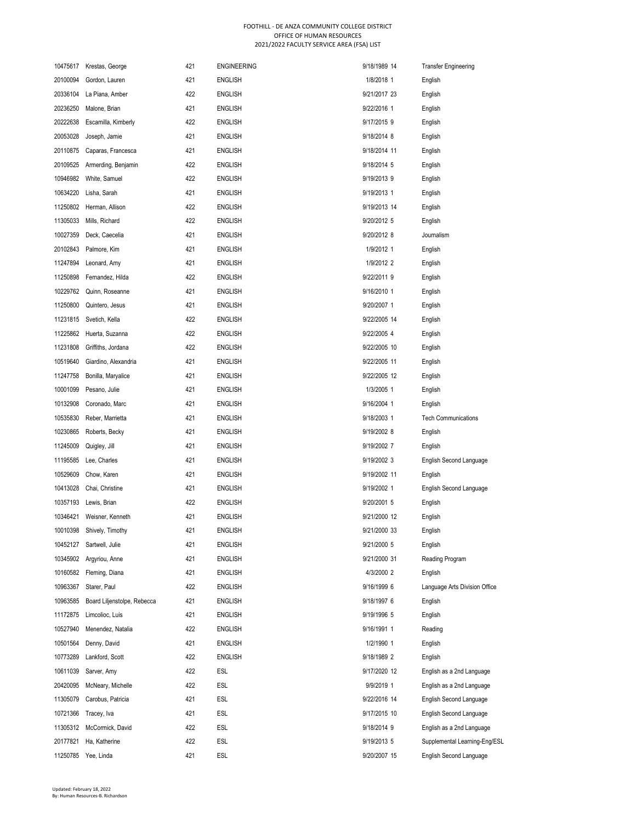|          | 10475617 Krestas, George    | 421 | <b>ENGINEERING</b> | 9/18/1989 14 | <b>Transfer Engineering</b>   |
|----------|-----------------------------|-----|--------------------|--------------|-------------------------------|
| 20100094 | Gordon, Lauren              | 421 | <b>ENGLISH</b>     | 1/8/2018 1   | English                       |
| 20336104 | La Piana, Amber             | 422 | <b>ENGLISH</b>     | 9/21/2017 23 | English                       |
| 20236250 | Malone, Brian               | 421 | <b>ENGLISH</b>     | 9/22/2016 1  | English                       |
| 20222638 | Escamilla, Kimberly         | 422 | <b>ENGLISH</b>     | 9/17/2015 9  | English                       |
| 20053028 | Joseph, Jamie               | 421 | <b>ENGLISH</b>     | 9/18/2014 8  | English                       |
| 20110875 | Caparas, Francesca          | 421 | <b>ENGLISH</b>     | 9/18/2014 11 | English                       |
| 20109525 | Armerding, Benjamin         | 422 | <b>ENGLISH</b>     | 9/18/2014 5  | English                       |
| 10946982 | White, Samuel               | 422 | <b>ENGLISH</b>     | 9/19/2013 9  | English                       |
| 10634220 | Lisha, Sarah                | 421 | <b>ENGLISH</b>     | 9/19/2013 1  | English                       |
| 11250802 | Herman, Allison             | 422 | <b>ENGLISH</b>     | 9/19/2013 14 | English                       |
| 11305033 | Mills, Richard              | 422 | <b>ENGLISH</b>     | 9/20/2012 5  | English                       |
| 10027359 | Deck, Caecelia              | 421 | <b>ENGLISH</b>     | 9/20/2012 8  | Journalism                    |
| 20102843 | Palmore, Kim                | 421 | <b>ENGLISH</b>     | 1/9/2012 1   | English                       |
| 11247894 | Leonard, Amy                | 421 | <b>ENGLISH</b>     | 1/9/2012 2   | English                       |
| 11250898 | Fernandez, Hilda            | 422 | <b>ENGLISH</b>     | 9/22/2011 9  | English                       |
| 10229762 | Quinn, Roseanne             | 421 | <b>ENGLISH</b>     | 9/16/2010 1  | English                       |
| 11250800 | Quintero, Jesus             | 421 | <b>ENGLISH</b>     | 9/20/2007 1  | English                       |
| 11231815 | Svetich, Kella              | 422 | <b>ENGLISH</b>     | 9/22/2005 14 | English                       |
| 11225862 | Huerta, Suzanna             | 422 | <b>ENGLISH</b>     | 9/22/2005 4  | English                       |
| 11231808 | Griffiths, Jordana          | 422 | <b>ENGLISH</b>     | 9/22/2005 10 | English                       |
| 10519640 | Giardino, Alexandria        | 421 | <b>ENGLISH</b>     | 9/22/2005 11 | English                       |
| 11247758 | Bonilla, Maryalice          | 421 | <b>ENGLISH</b>     | 9/22/2005 12 | English                       |
| 10001099 | Pesano, Julie               | 421 | <b>ENGLISH</b>     | 1/3/2005 1   | English                       |
| 10132908 | Coronado, Marc              | 421 | <b>ENGLISH</b>     | 9/16/2004 1  | English                       |
| 10535830 | Reber, Marrietta            | 421 | <b>ENGLISH</b>     | 9/18/2003 1  | <b>Tech Communications</b>    |
| 10230865 | Roberts, Becky              | 421 | <b>ENGLISH</b>     | 9/19/2002 8  | English                       |
| 11245009 | Quigley, Jill               | 421 | <b>ENGLISH</b>     | 9/19/2002 7  | English                       |
| 11195585 | Lee, Charles                | 421 | <b>ENGLISH</b>     | 9/19/2002 3  | English Second Language       |
| 10529609 | Chow, Karen                 | 421 | <b>ENGLISH</b>     | 9/19/2002 11 | English                       |
| 10413028 | Chai, Christine             | 421 | <b>ENGLISH</b>     | 9/19/2002 1  | English Second Language       |
| 10357193 | Lewis, Brian                | 422 | <b>ENGLISH</b>     | 9/20/2001 5  | English                       |
| 10346421 | Weisner, Kenneth            | 421 | <b>ENGLISH</b>     | 9/21/2000 12 | English                       |
| 10010398 | Shively, Timothy            | 421 | ENGLISH            | 9/21/2000 33 | English                       |
| 10452127 | Sartwell, Julie             | 421 | <b>ENGLISH</b>     | 9/21/2000 5  | English                       |
| 10345902 | Argyriou, Anne              | 421 | <b>ENGLISH</b>     | 9/21/2000 31 | Reading Program               |
| 10160582 | Fleming, Diana              | 421 | <b>ENGLISH</b>     | 4/3/2000 2   | English                       |
| 10963367 | Starer, Paul                | 422 | <b>ENGLISH</b>     | 9/16/1999 6  | Language Arts Division Office |
| 10963585 | Board Liljenstolpe, Rebecca | 421 | <b>ENGLISH</b>     | 9/18/1997 6  | English                       |
| 11172875 | Limcolioc, Luis             | 421 | <b>ENGLISH</b>     | 9/19/1996 5  | English                       |
| 10527940 | Menendez, Natalia           | 422 | ENGLISH            | 9/16/1991 1  | Reading                       |
| 10501564 | Denny, David                | 421 | <b>ENGLISH</b>     | 1/2/1990 1   | English                       |
| 10773289 | Lankford, Scott             | 422 | <b>ENGLISH</b>     | 9/18/1989 2  | English                       |
| 10611039 | Sarver, Amy                 | 422 | ESL                | 9/17/2020 12 | English as a 2nd Language     |
| 20420095 | McNeary, Michelle           | 422 | ESL                | 9/9/2019 1   | English as a 2nd Language     |
| 11305079 | Carobus, Patricia           | 421 | ESL                | 9/22/2016 14 | English Second Language       |
| 10721366 | Tracey, Iva                 | 421 | ESL                | 9/17/2015 10 | English Second Language       |
| 11305312 | McCormick, David            | 422 | ESL                | 9/18/2014 9  | English as a 2nd Language     |
| 20177821 | Ha, Katherine               | 422 | ESL                | 9/19/2013 5  | Supplemental Learning-Eng/ESL |
| 11250785 | Yee, Linda                  | 421 | ESL                | 9/20/2007 15 | English Second Language       |
|          |                             |     |                    |              |                               |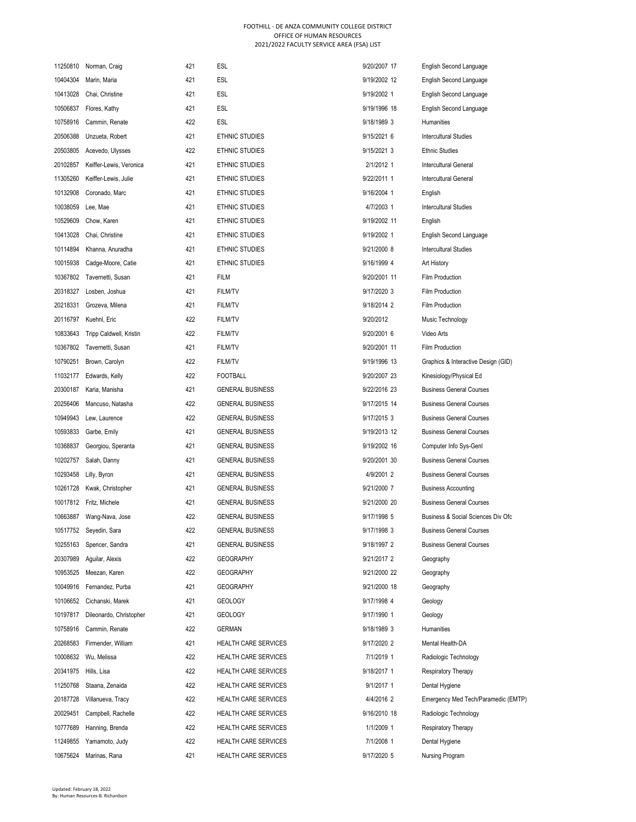| 11250810 | Norman, Craig           | 421 | ESL                         | 9/20/2007 17 | <b>English Second Language</b>      |
|----------|-------------------------|-----|-----------------------------|--------------|-------------------------------------|
| 10404304 | Marin, Maria            | 421 | ESL                         | 9/19/2002 12 | English Second Language             |
| 10413028 | Chai, Christine         | 421 | <b>ESL</b>                  | 9/19/2002 1  | English Second Language             |
| 10506837 | Flores, Kathy           | 421 | ESL                         | 9/19/1996 18 | English Second Language             |
| 10758916 | Cammin, Renate          | 422 | <b>ESL</b>                  | 9/18/1989 3  | <b>Humanities</b>                   |
| 20506388 | Unzueta, Robert         | 421 | ETHNIC STUDIES              | 9/15/2021 6  | <b>Intercultural Studies</b>        |
| 20503805 | Acevedo, Ulysses        | 422 | ETHNIC STUDIES              | 9/15/2021 3  | <b>Ethnic Studies</b>               |
| 20102857 | Keiffer-Lewis, Veronica | 421 | ETHNIC STUDIES              | 2/1/2012 1   | <b>Intercultural General</b>        |
| 11305260 | Keiffer-Lewis, Julie    | 421 | <b>ETHNIC STUDIES</b>       | 9/22/2011 1  | <b>Intercultural General</b>        |
| 10132908 | Coronado, Marc          | 421 | ETHNIC STUDIES              | 9/16/2004 1  | English                             |
| 10038059 | Lee, Mae                | 421 | ETHNIC STUDIES              | 4/7/2003 1   | <b>Intercultural Studies</b>        |
| 10529609 | Chow, Karen             | 421 | ETHNIC STUDIES              | 9/19/2002 11 | English                             |
| 10413028 | Chai, Christine         | 421 | ETHNIC STUDIES              | 9/19/2002 1  | English Second Language             |
| 10114894 | Khanna, Anuradha        | 421 | ETHNIC STUDIES              | 9/21/2000 8  | <b>Intercultural Studies</b>        |
| 10015938 | Cadge-Moore, Catie      | 421 | ETHNIC STUDIES              | 9/16/1999 4  | Art History                         |
| 10367802 | Tavernetti, Susan       | 421 | <b>FILM</b>                 | 9/20/2001 11 | Film Production                     |
| 20318327 | Losben, Joshua          | 421 | FILM/TV                     | 9/17/2020 3  | <b>Film Production</b>              |
| 20218331 | Grozeva, Milena         | 421 | <b>FILM/TV</b>              | 9/18/2014 2  | <b>Film Production</b>              |
| 20116797 | Kuehnl, Eric            | 422 | FILM/TV                     | 9/20/2012    | Music Technology                    |
| 10833643 | Tripp Caldwell, Kristin | 422 | <b>FILM/TV</b>              | 9/20/2001 6  | Video Arts                          |
| 10367802 | Tavernetti, Susan       | 421 | <b>FILM/TV</b>              | 9/20/2001 11 | <b>Film Production</b>              |
| 10790251 | Brown, Carolyn          | 422 | <b>FILM/TV</b>              | 9/19/1996 13 | Graphics & Interactive Design (GID) |
| 11032177 | Edwards, Kelly          | 422 | <b>FOOTBALL</b>             | 9/20/2007 23 | Kinesiology/Physical Ed             |
| 20300187 | Karia, Manisha          | 421 | <b>GENERAL BUSINESS</b>     | 9/22/2016 23 | <b>Business General Courses</b>     |
| 20256406 | Mancuso, Natasha        | 422 | <b>GENERAL BUSINESS</b>     | 9/17/2015 14 | <b>Business General Courses</b>     |
| 10949943 | Lew, Laurence           | 422 | <b>GENERAL BUSINESS</b>     | 9/17/2015 3  | <b>Business General Courses</b>     |
| 10593833 | Garbe, Emily            | 421 | <b>GENERAL BUSINESS</b>     | 9/19/2013 12 | <b>Business General Courses</b>     |
| 10368837 | Georgiou, Speranta      | 421 | <b>GENERAL BUSINESS</b>     | 9/19/2002 16 | Computer Info Sys-Genl              |
| 10202757 | Salah, Danny            | 421 | <b>GENERAL BUSINESS</b>     | 9/20/2001 30 | <b>Business General Courses</b>     |
| 10293458 | Lilly, Byron            | 421 | <b>GENERAL BUSINESS</b>     | 4/9/2001 2   | <b>Business General Courses</b>     |
| 10261728 | Kwak, Christopher       | 421 | <b>GENERAL BUSINESS</b>     | 9/21/2000 7  | <b>Business Accounting</b>          |
| 10017812 | Fritz, Michele          | 421 | <b>GENERAL BUSINESS</b>     | 9/21/2000 20 | <b>Business General Courses</b>     |
| 10663887 | Wang-Nava, Jose         | 422 | <b>GENERAL BUSINESS</b>     | 9/17/1998 5  | Business & Social Sciences Div Ofc  |
| 10517752 | Seyedin, Sara           | 422 | GENERAL BUSINESS            | 9/17/1998 3  | <b>Business General Courses</b>     |
| 10255163 | Spencer, Sandra         | 421 | <b>GENERAL BUSINESS</b>     | 9/18/1997 2  | <b>Business General Courses</b>     |
| 20307989 | Aguilar, Alexis         | 422 | <b>GEOGRAPHY</b>            | 9/21/2017 2  | Geography                           |
| 10953525 | Meezan, Karen           | 422 | <b>GEOGRAPHY</b>            | 9/21/2000 22 | Geography                           |
| 10049916 | Fernandez, Purba        | 421 | <b>GEOGRAPHY</b>            | 9/21/2000 18 | Geography                           |
| 10106652 | Cichanski, Marek        | 421 | <b>GEOLOGY</b>              | 9/17/1998 4  | Geology                             |
| 10197817 | Dileonardo, Christopher | 421 | <b>GEOLOGY</b>              | 9/17/1990 1  | Geology                             |
| 10758916 | Cammin, Renate          | 422 | GERMAN                      | 9/18/1989 3  | <b>Humanities</b>                   |
| 20268583 | Firmender, William      | 421 | HEALTH CARE SERVICES        | 9/17/2020 2  | Mental Health-DA                    |
| 10008632 | Wu, Melissa             | 422 | HEALTH CARE SERVICES        | 7/1/2019 1   | Radiologic Technology               |
| 20341975 | Hills, Lisa             | 422 | HEALTH CARE SERVICES        | 9/18/2017 1  | <b>Respiratory Therapy</b>          |
| 11250768 | Staana, Zenaida         | 422 | HEALTH CARE SERVICES        | 9/1/2017 1   | Dental Hygiene                      |
| 20187728 | Villanueva, Tracy       | 422 | <b>HEALTH CARE SERVICES</b> | 4/4/2016 2   | Emergency Med Tech/Paramedic (EMTP) |
| 20029451 | Campbell, Rachelle      | 422 | HEALTH CARE SERVICES        | 9/16/2010 18 | Radiologic Technology               |
| 10777689 | Hanning, Brenda         | 422 | HEALTH CARE SERVICES        | 1/1/2009 1   | <b>Respiratory Therapy</b>          |
| 11249855 | Yamamoto, Judy          | 422 | <b>HEALTH CARE SERVICES</b> | 7/1/2008 1   | Dental Hygiene                      |
| 10675624 | Marinas, Rana           | 421 | HEALTH CARE SERVICES        | 9/17/2020 5  | Nursing Program                     |
|          |                         |     |                             |              |                                     |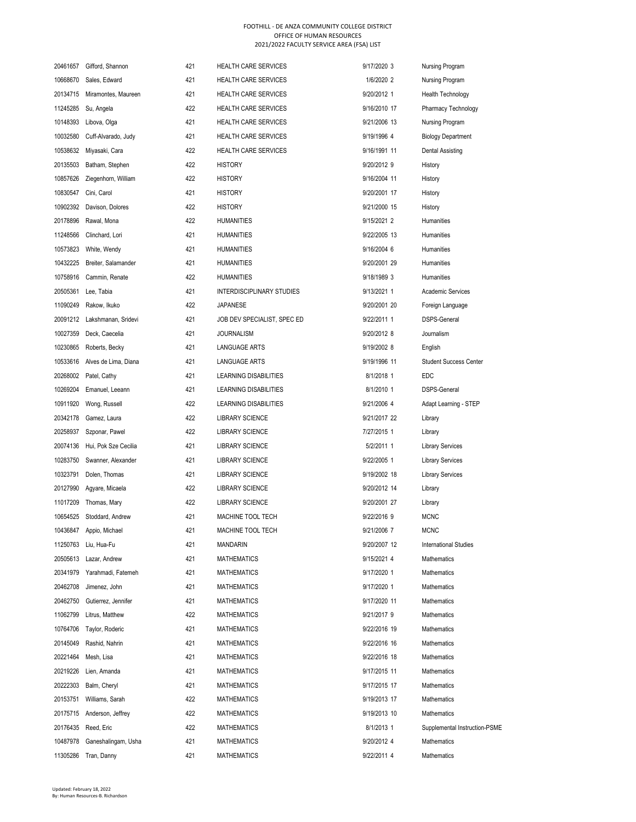| 20461657 | Gifford, Shannon     | 421 | <b>HEALTH CARE SERVICES</b>      | 9/17/2020 3  | Nursing Program               |
|----------|----------------------|-----|----------------------------------|--------------|-------------------------------|
| 10668670 | Sales, Edward        | 421 | <b>HEALTH CARE SERVICES</b>      | 1/6/2020 2   | Nursing Program               |
| 20134715 | Miramontes, Maureen  | 421 | <b>HEALTH CARE SERVICES</b>      | 9/20/2012 1  | <b>Health Technology</b>      |
| 11245285 | Su, Angela           | 422 | <b>HEALTH CARE SERVICES</b>      | 9/16/2010 17 | Pharmacy Technology           |
| 10148393 | Libova, Olga         | 421 | <b>HEALTH CARE SERVICES</b>      | 9/21/2006 13 | Nursing Program               |
| 10032580 | Cuff-Alvarado, Judy  | 421 | HEALTH CARE SERVICES             | 9/19/1996 4  | <b>Biology Department</b>     |
| 10538632 | Miyasaki, Cara       | 422 | <b>HEALTH CARE SERVICES</b>      | 9/16/1991 11 | <b>Dental Assisting</b>       |
| 20135503 | Batham, Stephen      | 422 | <b>HISTORY</b>                   | 9/20/2012 9  | History                       |
| 10857626 | Ziegenhorn, William  | 422 | <b>HISTORY</b>                   | 9/16/2004 11 | History                       |
| 10830547 | Cini, Carol          | 421 | <b>HISTORY</b>                   | 9/20/2001 17 | History                       |
| 10902392 | Davison, Dolores     | 422 | <b>HISTORY</b>                   | 9/21/2000 15 | History                       |
| 20178896 | Rawal, Mona          | 422 | <b>HUMANITIES</b>                | 9/15/2021 2  | Humanities                    |
| 11248566 | Clinchard, Lori      | 421 | <b>HUMANITIES</b>                | 9/22/2005 13 | Humanities                    |
| 10573823 | White, Wendy         | 421 | <b>HUMANITIES</b>                | 9/16/2004 6  | Humanities                    |
| 10432225 | Breiter, Salamander  | 421 | <b>HUMANITIES</b>                | 9/20/2001 29 | Humanities                    |
| 10758916 | Cammin, Renate       | 422 | <b>HUMANITIES</b>                | 9/18/1989 3  | Humanities                    |
| 20505361 | Lee, Tabia           | 421 | <b>INTERDISCIPLINARY STUDIES</b> | 9/13/2021 1  | <b>Academic Services</b>      |
| 11090249 | Rakow, Ikuko         | 422 | <b>JAPANESE</b>                  | 9/20/2001 20 | Foreign Language              |
| 20091212 | Lakshmanan, Sridevi  | 421 | JOB DEV SPECIALIST, SPEC ED      | 9/22/2011 1  | <b>DSPS-General</b>           |
| 10027359 | Deck, Caecelia       | 421 | <b>JOURNALISM</b>                | 9/20/2012 8  | Journalism                    |
| 10230865 | Roberts, Becky       | 421 | LANGUAGE ARTS                    | 9/19/2002 8  | English                       |
| 10533616 | Alves de Lima, Diana | 421 | LANGUAGE ARTS                    | 9/19/1996 11 | <b>Student Success Center</b> |
| 20268002 | Patel, Cathy         | 421 | LEARNING DISABILITIES            | 8/1/2018 1   | <b>EDC</b>                    |
| 10269204 | Emanuel, Leeann      | 421 | LEARNING DISABILITIES            | 8/1/2010 1   | <b>DSPS-General</b>           |
| 10911920 | Wong, Russell        | 422 | LEARNING DISABILITIES            | 9/21/2006 4  | Adapt Learning - STEP         |
| 20342178 | Gamez, Laura         | 422 | <b>LIBRARY SCIENCE</b>           | 9/21/2017 22 | Library                       |
| 20258937 | Szponar, Pawel       | 422 | <b>LIBRARY SCIENCE</b>           | 7/27/2015 1  | Library                       |
| 20074136 | Hui, Pok Sze Cecilia | 421 | <b>LIBRARY SCIENCE</b>           | 5/2/2011 1   | <b>Library Services</b>       |
| 10283750 | Swanner, Alexander   | 421 | <b>LIBRARY SCIENCE</b>           | 9/22/2005 1  | <b>Library Services</b>       |
| 10323791 | Dolen, Thomas        | 421 | <b>LIBRARY SCIENCE</b>           | 9/19/2002 18 | <b>Library Services</b>       |
| 20127990 | Agyare, Micaela      | 422 | <b>LIBRARY SCIENCE</b>           | 9/20/2012 14 | Library                       |
| 11017209 | Thomas, Mary         | 422 | <b>LIBRARY SCIENCE</b>           | 9/20/2001 27 | Library                       |
| 10654525 | Stoddard, Andrew     | 421 | MACHINE TOOL TECH                | 9/22/2016 9  | <b>MCNC</b>                   |
| 10436847 | Appio, Michael       | 421 | MACHINE TOOL TECH                | 9/21/2006 7  | <b>MCNC</b>                   |
| 11250763 | Liu, Hua-Fu          | 421 | <b>MANDARIN</b>                  | 9/20/2007 12 | <b>International Studies</b>  |
| 20505613 | Lazar, Andrew        | 421 | <b>MATHEMATICS</b>               | 9/15/2021 4  | Mathematics                   |
| 20341979 | Yarahmadi, Fatemeh   | 421 | <b>MATHEMATICS</b>               | 9/17/2020 1  | Mathematics                   |
| 20462708 | Jimenez, John        | 421 | <b>MATHEMATICS</b>               | 9/17/2020 1  | Mathematics                   |
| 20462750 | Gutierrez, Jennifer  | 421 | <b>MATHEMATICS</b>               | 9/17/2020 11 | Mathematics                   |
| 11062799 | Litrus, Matthew      | 422 | <b>MATHEMATICS</b>               | 9/21/2017 9  | Mathematics                   |
| 10764706 | Taylor, Roderic      | 421 | <b>MATHEMATICS</b>               | 9/22/2016 19 | Mathematics                   |
| 20145049 | Rashid, Nahrin       | 421 | <b>MATHEMATICS</b>               | 9/22/2016 16 | Mathematics                   |
| 20221464 | Mesh, Lisa           | 421 | <b>MATHEMATICS</b>               | 9/22/2016 18 | Mathematics                   |
| 20219226 | Lien, Amanda         | 421 | <b>MATHEMATICS</b>               | 9/17/2015 11 | Mathematics                   |
| 20222303 | Balm, Cheryl         | 421 | <b>MATHEMATICS</b>               | 9/17/2015 17 | Mathematics                   |
| 20153751 | Williams, Sarah      | 422 | <b>MATHEMATICS</b>               | 9/19/2013 17 | Mathematics                   |
| 20175715 | Anderson, Jeffrey    | 422 | <b>MATHEMATICS</b>               | 9/19/2013 10 | Mathematics                   |
| 20176435 | Reed, Eric           | 422 | <b>MATHEMATICS</b>               | 8/1/2013 1   | Supplemental Instruction-PSME |
| 10487978 | Ganeshalingam, Usha  | 421 | <b>MATHEMATICS</b>               | 9/20/2012 4  | Mathematics                   |
| 11305286 | Tran, Danny          | 421 | <b>MATHEMATICS</b>               | 9/22/2011 4  | Mathematics                   |
|          |                      |     |                                  |              |                               |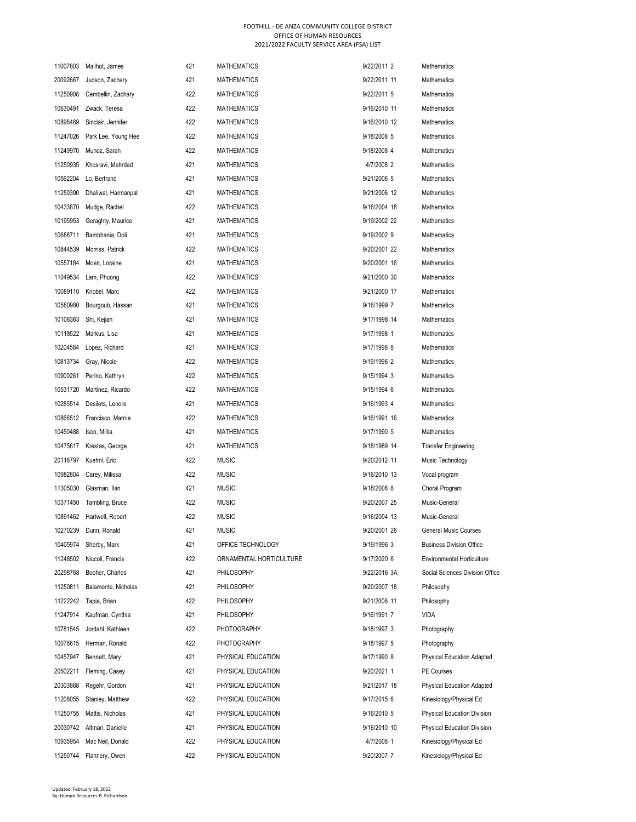| 11007803 | Mailhot, James            | 421 | <b>MATHEMATICS</b>      | 9/22/2011 2  | Mathematics                        |
|----------|---------------------------|-----|-------------------------|--------------|------------------------------------|
| 20092667 | Judson, Zachary           | 421 | <b>MATHEMATICS</b>      | 9/22/2011 11 | Mathematics                        |
| 11250908 | Cembellin, Zachary        | 422 | <b>MATHEMATICS</b>      | 9/22/2011 5  | Mathematics                        |
| 10630491 | Zwack, Teresa             | 422 | <b>MATHEMATICS</b>      | 9/16/2010 11 | Mathematics                        |
| 10896469 | Sinclair, Jennifer        | 422 | <b>MATHEMATICS</b>      | 9/16/2010 12 | Mathematics                        |
| 11247026 | Park Lee, Young Hee       | 422 | <b>MATHEMATICS</b>      | 9/18/2008 5  | Mathematics                        |
| 11249970 | Munoz, Sarah              | 422 | <b>MATHEMATICS</b>      | 9/18/2008 4  | Mathematics                        |
| 11250935 | Khosravi, Mehrdad         | 421 | <b>MATHEMATICS</b>      | 4/7/2008 2   | Mathematics                        |
| 10562204 | Lo, Bertrand              | 421 | <b>MATHEMATICS</b>      | 9/21/2006 5  | Mathematics                        |
| 11250390 | Dhaliwal, Harmanpal       | 421 | <b>MATHEMATICS</b>      | 9/21/2006 12 | <b>Mathematics</b>                 |
| 10433870 | Mudge, Rachel             | 422 | <b>MATHEMATICS</b>      | 9/16/2004 18 | Mathematics                        |
| 10195953 | Geraghty, Maurice         | 421 | <b>MATHEMATICS</b>      | 9/19/2002 22 | Mathematics                        |
| 10688711 | Bambhania, Doli           | 421 | <b>MATHEMATICS</b>      | 9/19/2002 9  | Mathematics                        |
| 10844539 | Morriss, Patrick          | 422 | <b>MATHEMATICS</b>      | 9/20/2001 22 | Mathematics                        |
| 10557184 | Moen, Loraine             | 421 | <b>MATHEMATICS</b>      | 9/20/2001 16 | Mathematics                        |
| 11049534 | Lam, Phuong               | 422 | <b>MATHEMATICS</b>      | 9/21/2000 30 | Mathematics                        |
| 10089110 | Knobel, Marc              | 422 | <b>MATHEMATICS</b>      | 9/21/2000 17 | Mathematics                        |
| 10580980 | Bourgoub, Hassan          | 421 | <b>MATHEMATICS</b>      | 9/16/1999 7  | Mathematics                        |
| 10106363 | Shi, Kejian               | 421 | <b>MATHEMATICS</b>      | 9/17/1998 14 | Mathematics                        |
| 10118522 | Markus, Lisa              | 421 | <b>MATHEMATICS</b>      | 9/17/1998 1  | Mathematics                        |
| 10204584 | Lopez, Richard            | 421 | <b>MATHEMATICS</b>      | 9/17/1998 8  | Mathematics                        |
| 10813734 | Gray, Nicole              | 422 | <b>MATHEMATICS</b>      | 9/19/1996 2  | Mathematics                        |
| 10900261 | Perino, Kathryn           | 422 | <b>MATHEMATICS</b>      | 9/15/1994 3  | Mathematics                        |
| 10531720 | Martinez, Ricardo         | 422 | <b>MATHEMATICS</b>      | 9/15/1994 6  | Mathematics                        |
| 10285514 | Desilets, Lenore          | 421 | <b>MATHEMATICS</b>      | 9/16/1993 4  | Mathematics                        |
| 10866512 | Francisco, Marnie         | 422 | <b>MATHEMATICS</b>      | 9/16/1991 16 | Mathematics                        |
| 10450488 | Ison, Millia              | 421 | <b>MATHEMATICS</b>      | 9/17/1990 5  | Mathematics                        |
| 10475617 | Krestas, George           | 421 | <b>MATHEMATICS</b>      | 9/18/1989 14 | Transfer Engineering               |
| 20116797 | Kuehnl, Eric              | 422 | <b>MUSIC</b>            | 9/20/2012 11 | Music Technology                   |
| 10982804 | Carey, Milissa            | 422 | <b>MUSIC</b>            | 9/16/2010 13 | Vocal program                      |
| 11305030 | Glasman, Ilan             | 421 | <b>MUSIC</b>            | 9/18/2008 8  | Choral Program                     |
| 10371450 | Tambling, Bruce           | 422 | <b>MUSIC</b>            | 9/20/2007 25 | Music-General                      |
|          | 10891462 Hartwell, Robert | 422 | <b>MUSIC</b>            | 9/16/2004 13 | Music-General                      |
| 10270239 | Dunn, Ronald              | 421 | <b>MUSIC</b>            | 9/20/2001 26 | General Music Courses              |
| 10405974 | Sherby, Mark              | 421 | OFFICE TECHNOLOGY       | 9/19/1996 3  | <b>Business Division Office</b>    |
| 11248502 | Niccoli, Francis          | 422 | ORNAMENTAL HORTICULTURE | 9/17/2020 6  | <b>Environmental Horticulture</b>  |
| 20298768 | Booher, Charles           | 421 | PHILOSOPHY              | 9/22/2016 3A | Social Sciences Division Office    |
| 11250811 | Baiamonte, Nicholas       | 421 | PHILOSOPHY              | 9/20/2007 18 | Philosophy                         |
| 11222242 | Tapia, Brian              | 422 | PHILOSOPHY              | 9/21/2006 11 | Philosophy                         |
| 11247914 | Kaufman, Cynthia          | 421 | PHILOSOPHY              | 9/16/1991 7  | <b>VIDA</b>                        |
| 10781545 | Jordahl, Kathleen         | 422 | PHOTOGRAPHY             | 9/18/1997 3  | Photography                        |
| 10078615 | Herman, Ronald            | 422 | PHOTOGRAPHY             | 9/18/1997 5  | Photography                        |
| 10457947 | Bennett, Mary             | 421 | PHYSICAL EDUCATION      | 9/17/1990 8  | <b>Physical Education Adapted</b>  |
| 20502211 | Fleming, Casey            | 421 | PHYSICAL EDUCATION      | 9/20/2021 1  | PE Courses                         |
| 20303868 | Regehr, Gordon            | 421 | PHYSICAL EDUCATION      | 9/21/2017 18 | <b>Physical Education Adapted</b>  |
| 11208055 | Stanley, Matthew          | 422 | PHYSICAL EDUCATION      | 9/17/2015 6  | Kinesiology/Physical Ed            |
| 11250755 | Mattis, Nicholas          | 421 | PHYSICAL EDUCATION      | 9/16/2010 5  | <b>Physical Education Division</b> |
| 20030742 | Altman, Danielle          | 421 | PHYSICAL EDUCATION      | 9/16/2010 10 | Physical Education Division        |
| 10935954 | Mac Neil, Donald          | 422 | PHYSICAL EDUCATION      | 4/7/2008 1   | Kinesiology/Physical Ed            |
| 11250744 | Flannery, Owen            | 422 | PHYSICAL EDUCATION      | 9/20/2007 7  | Kinesiology/Physical Ed            |
|          |                           |     |                         |              |                                    |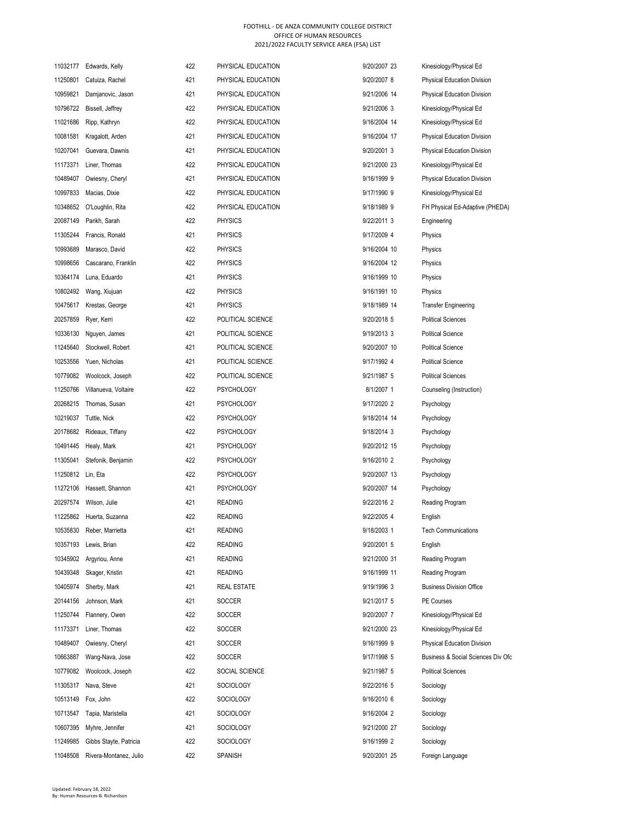|                   | 11032177 Edwards, Kelly   | 422 | PHYSICAL EDUCATION | 9/20/2007 23 | Kinesiology/Physical Ed            |
|-------------------|---------------------------|-----|--------------------|--------------|------------------------------------|
| 11250801          | Catuiza, Rachel           | 421 | PHYSICAL EDUCATION | 9/20/2007 8  | <b>Physical Education Division</b> |
| 10959821          | Damjanovic, Jason         | 421 | PHYSICAL EDUCATION | 9/21/2006 14 | <b>Physical Education Division</b> |
| 10796722          | Bissell, Jeffrey          | 422 | PHYSICAL EDUCATION | 9/21/2006 3  | Kinesiology/Physical Ed            |
| 11021686          | Ripp, Kathryn             | 422 | PHYSICAL EDUCATION | 9/16/2004 14 | Kinesiology/Physical Ed            |
| 10081581          | Kragalott, Arden          | 421 | PHYSICAL EDUCATION | 9/16/2004 17 | <b>Physical Education Division</b> |
| 10207041          | Guevara, Dawnis           | 421 | PHYSICAL EDUCATION | 9/20/2001 3  | <b>Physical Education Division</b> |
| 11173371          | Liner, Thomas             | 422 | PHYSICAL EDUCATION | 9/21/2000 23 | Kinesiology/Physical Ed            |
| 10489407          | Owiesny, Cheryl           | 421 | PHYSICAL EDUCATION | 9/16/1999 9  | <b>Physical Education Division</b> |
| 10997833          | Macias, Dixie             | 422 | PHYSICAL EDUCATION | 9/17/1990 9  | Kinesiology/Physical Ed            |
| 10348652          | O'Loughlin, Rita          | 422 | PHYSICAL EDUCATION | 9/18/1989 9  | FH Physical Ed-Adaptive (PHEDA)    |
| 20087149          | Parikh, Sarah             | 422 | <b>PHYSICS</b>     | 9/22/2011 3  | Engineering                        |
| 11305244          | Francis, Ronald           | 421 | <b>PHYSICS</b>     | 9/17/2009 4  | Physics                            |
| 10993689          | Marasco, David            | 422 | <b>PHYSICS</b>     | 9/16/2004 10 | Physics                            |
| 10998656          | Cascarano, Franklin       | 422 | <b>PHYSICS</b>     | 9/16/2004 12 | Physics                            |
| 10364174          | Luna, Eduardo             | 421 | <b>PHYSICS</b>     | 9/16/1999 10 | Physics                            |
| 10802492          | Wang, Xiujuan             | 422 | <b>PHYSICS</b>     | 9/16/1991 10 | Physics                            |
| 10475617          | Krestas, George           | 421 | <b>PHYSICS</b>     | 9/18/1989 14 | <b>Transfer Engineering</b>        |
| 20257859          | Ryer, Kerri               | 422 | POLITICAL SCIENCE  | 9/20/2018 5  | <b>Political Sciences</b>          |
| 10336130          | Nguyen, James             | 421 | POLITICAL SCIENCE  | 9/19/2013 3  | <b>Political Science</b>           |
| 11245640          | Stockwell, Robert         | 421 | POLITICAL SCIENCE  | 9/20/2007 10 | <b>Political Science</b>           |
| 10253556          | Yuen, Nicholas            | 421 | POLITICAL SCIENCE  | 9/17/1992 4  | <b>Political Science</b>           |
| 10779082          | Woolcock, Joseph          | 422 | POLITICAL SCIENCE  | 9/21/1987 5  | <b>Political Sciences</b>          |
| 11250766          | Villanueva, Voltaire      | 422 | <b>PSYCHOLOGY</b>  | 8/1/2007 1   | Counseling (Instruction)           |
| 20268215          | Thomas, Susan             | 421 | <b>PSYCHOLOGY</b>  | 9/17/2020 2  | Psychology                         |
| 10219037          | Tuttle, Nick              | 422 | <b>PSYCHOLOGY</b>  | 9/18/2014 14 | Psychology                         |
| 20178682          | Rideaux, Tiffany          | 422 | <b>PSYCHOLOGY</b>  | 9/18/2014 3  | Psychology                         |
| 10491445          | Healy, Mark               | 421 | <b>PSYCHOLOGY</b>  | 9/20/2012 15 | Psychology                         |
| 11305041          | Stefonik, Benjamin        | 422 | <b>PSYCHOLOGY</b>  | 9/16/2010 2  | Psychology                         |
| 11250812 Lin, Eta |                           | 422 | <b>PSYCHOLOGY</b>  | 9/20/2007 13 | Psychology                         |
|                   | 11272106 Hassett, Shannon | 421 | <b>PSYCHOLOGY</b>  | 9/20/2007 14 | Psychology                         |
| 20297574          | Wilson, Julie             | 421 | <b>READING</b>     | 9/22/2016 2  | Reading Program                    |
|                   | 11225862 Huerta, Suzanna  | 422 | <b>READING</b>     | 9/22/2005 4  | English                            |
| 10535830          | Reber, Marrietta          | 421 | READING            | 9/18/2003 1  | <b>Tech Communications</b>         |
| 10357193          | Lewis, Brian              | 422 | <b>READING</b>     | 9/20/2001 5  | English                            |
| 10345902          | Argyriou, Anne            | 421 | <b>READING</b>     | 9/21/2000 31 | Reading Program                    |
| 10439348          | Skager, Kristin           | 421 | <b>READING</b>     | 9/16/1999 11 | Reading Program                    |
| 10405974          | Sherby, Mark              | 421 | <b>REAL ESTATE</b> | 9/19/1996 3  | <b>Business Division Office</b>    |
| 20144156          | Johnson, Mark             | 421 | <b>SOCCER</b>      | 9/21/2017 5  | PE Courses                         |
| 11250744          | Flannery, Owen            | 422 | <b>SOCCER</b>      | 9/20/2007 7  | Kinesiology/Physical Ed            |
| 11173371          | Liner, Thomas             | 422 | <b>SOCCER</b>      | 9/21/2000 23 | Kinesiology/Physical Ed            |
| 10489407          | Owiesny, Cheryl           | 421 | <b>SOCCER</b>      | 9/16/1999 9  | <b>Physical Education Division</b> |
| 10663887          | Wang-Nava, Jose           | 422 | SOCCER             | 9/17/1998 5  | Business & Social Sciences Div Ofc |
| 10779082          | Woolcock, Joseph          | 422 | SOCIAL SCIENCE     | 9/21/1987 5  | <b>Political Sciences</b>          |
| 11305317          | Nava, Steve               | 421 | SOCIOLOGY          | 9/22/2016 5  | Sociology                          |
| 10513149          | Fox, John                 | 422 | <b>SOCIOLOGY</b>   | 9/16/2010 6  | Sociology                          |
| 10713547          | Tapia, Maristella         | 421 | <b>SOCIOLOGY</b>   | 9/16/2004 2  | Sociology                          |
| 10607395          | Myhre, Jennifer           | 421 | <b>SOCIOLOGY</b>   | 9/21/2000 27 | Sociology                          |
| 11249985          | Gibbs Stayte, Patricia    | 422 | <b>SOCIOLOGY</b>   | 9/16/1999 2  | Sociology                          |
| 11048508          | Rivera-Montanez, Julio    | 422 | SPANISH            | 9/20/2001 25 | Foreign Language                   |
|                   |                           |     |                    |              |                                    |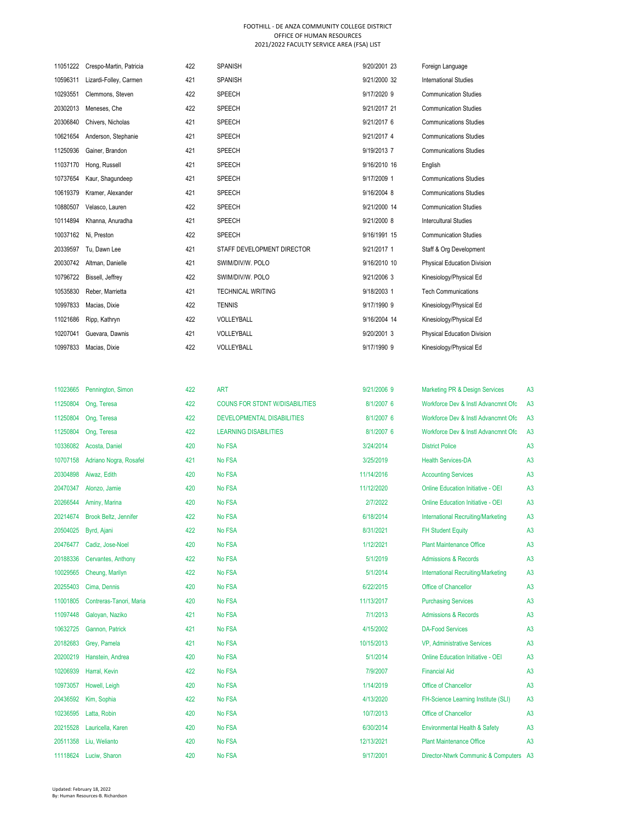| 11051222 | Crespo-Martin, Patricia | 422 | <b>SPANISH</b>             | 9/20/2001 23 | Foreign Language                   |
|----------|-------------------------|-----|----------------------------|--------------|------------------------------------|
| 10596311 | Lizardi-Folley, Carmen  | 421 | <b>SPANISH</b>             | 9/21/2000 32 | <b>International Studies</b>       |
| 10293551 | Clemmons, Steven        | 422 | SPEECH                     | 9/17/2020 9  | <b>Communication Studies</b>       |
| 20302013 | Meneses, Che            | 422 | SPEECH                     | 9/21/2017 21 | <b>Communication Studies</b>       |
| 20306840 | Chivers, Nicholas       | 421 | SPEECH                     | 9/21/2017 6  | <b>Communications Studies</b>      |
| 10621654 | Anderson, Stephanie     | 421 | SPEECH                     | 9/21/2017 4  | <b>Communications Studies</b>      |
| 11250936 | Gainer, Brandon         | 421 | <b>SPEECH</b>              | 9/19/2013 7  | <b>Communications Studies</b>      |
| 11037170 | Hong, Russell           | 421 | SPEECH                     | 9/16/2010 16 | English                            |
| 10737654 | Kaur, Shaqundeep        | 421 | SPEECH                     | 9/17/2009 1  | <b>Communications Studies</b>      |
| 10619379 | Kramer, Alexander       | 421 | SPEECH                     | 9/16/2004 8  | <b>Communications Studies</b>      |
| 10880507 | Velasco, Lauren         | 422 | SPEECH                     | 9/21/2000 14 | <b>Communication Studies</b>       |
| 10114894 | Khanna, Anuradha        | 421 | SPEECH                     | 9/21/2000 8  | <b>Intercultural Studies</b>       |
| 10037162 | Ni, Preston             | 422 | SPEECH                     | 9/16/1991 15 | <b>Communication Studies</b>       |
| 20339597 | Tu, Dawn Lee            | 421 | STAFF DEVELOPMENT DIRECTOR | 9/21/2017 1  | Staff & Org Development            |
| 20030742 | Altman, Danielle        | 421 | SWIM/DIV/W. POLO           | 9/16/2010 10 | <b>Physical Education Division</b> |
| 10796722 | Bissell, Jeffrey        | 422 | SWIM/DIV/W. POLO           | 9/21/2006 3  | Kinesiology/Physical Ed            |
| 10535830 | Reber, Marrietta        | 421 | <b>TECHNICAL WRITING</b>   | 9/18/2003 1  | <b>Tech Communications</b>         |
| 10997833 | Macias, Dixie           | 422 | <b>TENNIS</b>              | 9/17/1990 9  | Kinesiology/Physical Ed            |
| 11021686 | Ripp, Kathryn           | 422 | VOLLEYBALL                 | 9/16/2004 14 | Kinesiology/Physical Ed            |
| 10207041 | Guevara, Dawnis         | 421 | VOLLEYBALL                 | 9/20/2001 3  | <b>Physical Education Division</b> |
| 10997833 | Macias, Dixie           | 422 | VOLLEYBALL                 | 9/17/1990 9  | Kinesiology/Physical Ed            |
|          |                         |     |                            |              |                                    |

| 11023665 | Pennington, Simon       | 422 | <b>ART</b>                            | 9/21/2006 9 | Marketing PR & Design Services            | A3             |
|----------|-------------------------|-----|---------------------------------------|-------------|-------------------------------------------|----------------|
| 11250804 | Ong, Teresa             | 422 | <b>COUNS FOR STDNT W/DISABILITIES</b> | 8/1/2007 6  | Workforce Dev & Instl Advancmnt Ofc       | A <sub>3</sub> |
| 11250804 | Ong, Teresa             | 422 | <b>DEVELOPMENTAL DISABILITIES</b>     | 8/1/2007 6  | Workforce Dev & Instl Advancmnt Ofc       | A <sub>3</sub> |
| 11250804 | Ong, Teresa             | 422 | <b>LEARNING DISABILITIES</b>          | 8/1/2007 6  | Workforce Dev & Instl Advancmnt Ofc       | A <sub>3</sub> |
| 10336082 | Acosta, Daniel          | 420 | No FSA                                | 3/24/2014   | <b>District Police</b>                    | A <sub>3</sub> |
| 10707158 | Adriano Nogra, Rosafel  | 421 | No FSA                                | 3/25/2019   | <b>Health Services-DA</b>                 | A <sub>3</sub> |
| 20304898 | Aiwaz, Edith            | 420 | No FSA                                | 11/14/2016  | <b>Accounting Services</b>                | A <sub>3</sub> |
| 20470347 | Alonzo, Jamie           | 420 | No FSA                                | 11/12/2020  | <b>Online Education Initiative - OEI</b>  | A <sub>3</sub> |
| 20266544 | Aminy, Marina           | 420 | No FSA                                | 2/7/2022    | <b>Online Education Initiative - OEI</b>  | A <sub>3</sub> |
| 20214674 | Brook Beltz, Jennifer   | 422 | No FSA                                | 6/18/2014   | <b>International Recruiting/Marketing</b> | A <sub>3</sub> |
| 20504025 | Byrd, Ajani             | 422 | No FSA                                | 8/31/2021   | <b>FH Student Equity</b>                  | A <sub>3</sub> |
| 20476477 | Cadiz, Jose-Noel        | 420 | No FSA                                | 1/12/2021   | <b>Plant Maintenance Office</b>           | A <sub>3</sub> |
| 20188336 | Cervantes, Anthony      | 422 | No FSA                                | 5/1/2019    | <b>Admissions &amp; Records</b>           | A <sub>3</sub> |
| 10029565 | Cheung, Marilyn         | 422 | No FSA                                | 5/1/2014    | <b>International Recruiting/Marketing</b> | A <sub>3</sub> |
| 20255403 | Cima, Dennis            | 420 | No FSA                                | 6/22/2015   | Office of Chancellor                      | A <sub>3</sub> |
| 11001805 | Contreras-Tanori, Maria | 420 | No FSA                                | 11/13/2017  | <b>Purchasing Services</b>                | A <sub>3</sub> |
| 11097448 | Galoyan, Naziko         | 421 | No FSA                                | 7/1/2013    | <b>Admissions &amp; Records</b>           | A <sub>3</sub> |
| 10632725 | Gannon, Patrick         | 421 | No FSA                                | 4/15/2002   | <b>DA-Food Services</b>                   | A <sub>3</sub> |
| 20182683 | Grey, Pamela            | 421 | No FSA                                | 10/15/2013  | <b>VP, Administrative Services</b>        | A <sub>3</sub> |
| 20200219 | Hanstein, Andrea        | 420 | No FSA                                | 5/1/2014    | <b>Online Education Initiative - OEI</b>  | A <sub>3</sub> |
| 10206939 | Harral, Kevin           | 422 | No FSA                                | 7/9/2007    | <b>Financial Aid</b>                      | A <sub>3</sub> |
| 10973057 | Howell, Leigh           | 420 | No FSA                                | 1/14/2019   | Office of Chancellor                      | A <sub>3</sub> |
| 20436592 | Kim, Sophia             | 422 | No FSA                                | 4/13/2020   | FH-Science Learning Institute (SLI)       | A <sub>3</sub> |
| 10236595 | Latta, Robin            | 420 | No FSA                                | 10/7/2013   | Office of Chancellor                      | A <sub>3</sub> |
| 20215528 | Lauricella, Karen       | 420 | No FSA                                | 6/30/2014   | Environmental Health & Safety             | A <sub>3</sub> |
| 20511358 | Liu, Welianto           | 420 | No FSA                                | 12/13/2021  | <b>Plant Maintenance Office</b>           | A <sub>3</sub> |
| 11118624 | Luciw, Sharon           | 420 | No FSA                                | 9/17/2001   | Director-Ntwrk Communic & Computers A3    |                |
|          |                         |     |                                       |             |                                           |                |

| <b>Marketing PR &amp; Design Services</b> | A3             |
|-------------------------------------------|----------------|
| Workforce Dev & Instl Advancmnt Ofc       | A <sub>3</sub> |
| Workforce Dev & Instl Advancmnt Ofc       | A <sub>3</sub> |
| Workforce Dev & Instl Advancmnt Ofc       | A <sub>3</sub> |
| <b>District Police</b>                    | A <sub>3</sub> |
| <b>Health Services-DA</b>                 | A <sub>3</sub> |
| <b>Accounting Services</b>                | A <sub>3</sub> |
| Online Education Initiative - OEI         | A <sub>3</sub> |
| <b>Online Education Initiative - OEI</b>  | A <sub>3</sub> |
| <b>International Recruiting/Marketing</b> | A <sub>3</sub> |
| <b>FH Student Equity</b>                  | A <sub>3</sub> |
| <b>Plant Maintenance Office</b>           | A <sub>3</sub> |
| <b>Admissions &amp; Records</b>           | A <sub>3</sub> |
| <b>International Recruiting/Marketing</b> | A <sub>3</sub> |
| Office of Chancellor                      | A <sub>3</sub> |
| <b>Purchasing Services</b>                | A <sub>3</sub> |
| <b>Admissions &amp; Records</b>           | A <sub>3</sub> |
| <b>DA-Food Services</b>                   | A <sub>3</sub> |
| <b>VP. Administrative Services</b>        | A <sub>3</sub> |
| <b>Online Education Initiative - OEI</b>  | A <sub>3</sub> |
| <b>Financial Aid</b>                      | A <sub>3</sub> |
| Office of Chancellor                      | A <sub>3</sub> |
| FH-Science Learning Institute (SLI)       | A <sub>3</sub> |
| Office of Chancellor                      | A <sub>3</sub> |
| <b>Environmental Health &amp; Safety</b>  | A <sub>3</sub> |
| <b>Plant Maintenance Office</b>           | A <sub>3</sub> |
|                                           |                |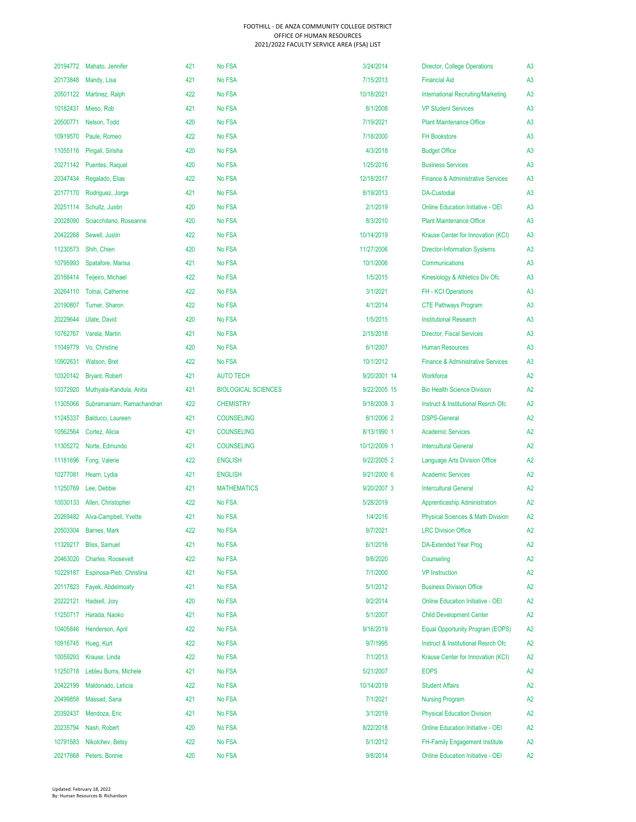| 20194772 | Mahato, Jennifer          | 421 | No FSA                     | 3/24/2014    | <b>Director, College Operations</b>            | A <sub>3</sub> |
|----------|---------------------------|-----|----------------------------|--------------|------------------------------------------------|----------------|
| 20173848 | Mandy, Lisa               | 421 | No FSA                     | 7/15/2013    | <b>Financial Aid</b>                           | A <sub>3</sub> |
|          | 20501122 Martinez, Ralph  | 422 | No FSA                     | 10/18/2021   | <b>International Recruiting/Marketing</b>      | A <sub>3</sub> |
| 10182431 | Mieso, Rob                | 421 | No FSA                     | 8/1/2008     | <b>VP Student Services</b>                     | A <sub>3</sub> |
| 20500771 | Nelson, Todd              | 420 | No FSA                     | 7/19/2021    | <b>Plant Maintenance Office</b>                | A <sub>3</sub> |
| 10919570 | Paule, Romeo              | 422 | No FSA                     | 7/18/2000    | <b>FH Bookstore</b>                            | A <sub>3</sub> |
| 11055116 | Pingali, Sirisha          | 420 | No FSA                     | 4/3/2018     | <b>Budget Office</b>                           | A <sub>3</sub> |
| 20271142 | Puentes, Raquel           | 420 | No FSA                     | 1/25/2016    | <b>Business Services</b>                       | A <sub>3</sub> |
| 20347434 | Regalado, Elias           | 422 | No FSA                     | 12/18/2017   | <b>Finance &amp; Administrative Services</b>   | A <sub>3</sub> |
| 20177170 | Rodriguez, Jorge          | 421 | No FSA                     | 8/19/2013    | <b>DA-Custodial</b>                            | A <sub>3</sub> |
| 20251114 | Schultz, Justin           | 420 | No FSA                     | 2/1/2019     | <b>Online Education Initiative - OEI</b>       | A <sub>3</sub> |
| 20028090 | Sciacchitano, Roseanne    | 420 | No FSA                     | 8/3/2010     | <b>Plant Maintenance Office</b>                | A <sub>3</sub> |
| 20422268 | Sewell, Justin            | 422 | No FSA                     | 10/14/2019   | Krause Center for Innovation (KCI)             | A <sub>3</sub> |
| 11230573 | Shih, Chien               | 420 | No FSA                     | 11/27/2006   | <b>Director-Information Systems</b>            | A <sub>3</sub> |
| 10795993 | Spatafore, Marisa         | 421 | No FSA                     | 10/1/2006    | Communications                                 | A <sub>3</sub> |
| 20166414 | Teijeiro, Michael         | 422 | No FSA                     | 1/5/2015     | Kinesiology & Athletics Div Ofc                | A <sub>3</sub> |
| 20264110 | Tolnai, Catherine         | 422 | No FSA                     | 3/1/2021     | <b>FH - KCI Operations</b>                     | A <sub>3</sub> |
| 20190807 | Turner, Sharon            | 422 | No FSA                     | 4/1/2014     | <b>CTE Pathways Program</b>                    | A <sub>3</sub> |
| 20229644 | <b>Ulate, David</b>       | 420 | No FSA                     | 1/5/2015     | <b>Institutional Research</b>                  | A <sub>3</sub> |
| 10762767 | Varela, Martin            | 421 | No FSA                     | 2/15/2018    | <b>Director, Fiscal Services</b>               | A <sub>3</sub> |
| 11049779 | Vo, Christine             | 420 | No FSA                     | 6/1/2007     | <b>Human Resources</b>                         | A <sub>3</sub> |
| 10902631 | Watson, Bret              | 422 | No FSA                     | 10/1/2012    | <b>Finance &amp; Administrative Services</b>   | A <sub>3</sub> |
| 10320142 | <b>Bryant, Robert</b>     | 421 | <b>AUTO TECH</b>           | 9/20/2001 14 | Workforce                                      | A <sub>2</sub> |
| 10372920 | Muthyala-Kandula, Anita   | 421 | <b>BIOLOGICAL SCIENCES</b> | 9/22/2005 15 | <b>Bio Health Science Division</b>             | A <sub>2</sub> |
| 11305066 | Subramaniam, Ramachandran | 422 | <b>CHEMISTRY</b>           | 9/18/2008 3  | <b>Instruct &amp; Institutional Resrch Ofc</b> | A <sub>2</sub> |
| 11245337 | Balducci, Laureen         | 421 | <b>COUNSELING</b>          | 8/1/2006 2   | <b>DSPS-General</b>                            | A <sub>2</sub> |
| 10562564 | Cortez, Alicia            | 421 | <b>COUNSELING</b>          | 8/13/1990 1  | <b>Academic Services</b>                       | A2             |
| 11305272 | Norte, Edmundo            | 421 | <b>COUNSELING</b>          | 10/12/2009 1 | <b>Intercultural General</b>                   | A2             |
| 11181696 | Fong, Valerie             | 422 | <b>ENGLISH</b>             | 9/22/2005 2  | <b>Language Arts Division Office</b>           | A <sub>2</sub> |
| 10277081 | Hearn, Lydia              | 421 | <b>ENGLISH</b>             | 9/21/2000 6  | <b>Academic Services</b>                       | A2             |
| 11250769 | Lee, Debbie               | 421 | <b>MATHEMATICS</b>         | 9/20/2007 3  | <b>Intercultural General</b>                   | A2             |
| 10030133 | Allen, Christopher        | 422 | No FSA                     | 5/28/2019    | <b>Apprenticeship Administration</b>           | A2             |
| 20269482 | Alva-Campbell, Yvette     | 421 | No FSA                     | 1/4/2016     | <b>Physical Sciences &amp; Math Division</b>   | A <sub>2</sub> |
| 20503304 | Barnes, Mark              | 422 | No FSA                     | 9/7/2021     | <b>LRC Division Office</b>                     | A <sub>2</sub> |
| 11329217 | <b>Bliss, Samuel</b>      | 421 | <b>No FSA</b>              | 6/1/2016     | <b>DA-Extended Year Prog</b>                   | A <sub>2</sub> |
| 20463020 | <b>Charles, Roosevelt</b> | 422 | <b>No FSA</b>              | 9/8/2020     | Counseling                                     | A2             |
| 10229187 | Espinosa-Pieb, Christina  | 421 | No FSA                     | 7/1/2000     | <b>VP</b> Instruction                          | A <sub>2</sub> |
| 20117823 | Fayek, Abdelmoaty         | 421 | No FSA                     | 5/1/2012     | <b>Business Division Office</b>                | A2             |
| 20222121 | Hadsell, Jory             | 420 | No FSA                     | 9/2/2014     | <b>Online Education Initiative - OEI</b>       | A <sub>2</sub> |
| 11250717 | Harada, Naoko             | 421 | No FSA                     | 5/1/2007     | <b>Child Development Center</b>                | A <sub>2</sub> |
| 10405846 | Henderson, April          | 422 | No FSA                     | 9/16/2019    | Equal Opportunity Program (EOPS)               | A <sub>2</sub> |
| 10916745 | Hueg, Kurt                | 422 | No FSA                     | 9/7/1995     | <b>Instruct &amp; Institutional Resrch Ofc</b> | A <sub>2</sub> |
| 10059293 | Krause, Linda             | 422 | No FSA                     | 7/1/2013     | Krause Center for Innovation (KCI)             | A <sub>2</sub> |
| 11250718 | Lebleu Burns, Michele     | 421 | No FSA                     | 5/21/2007    | <b>EOPS</b>                                    | A <sub>2</sub> |
| 20422199 | Maldonado, Leticia        | 422 | No FSA                     | 10/14/2019   | <b>Student Affairs</b>                         | A <sub>2</sub> |
| 20499858 | Massad, Sana              | 421 | No FSA                     | 7/1/2021     | <b>Nursing Program</b>                         | A <sub>2</sub> |
| 20392437 | Mendoza, Eric             | 421 | No FSA                     | 3/1/2019     | <b>Physical Education Division</b>             | A <sub>2</sub> |
| 20235794 | Nash, Robert              | 420 | No FSA                     | 8/22/2018    | <b>Online Education Initiative - OEI</b>       | A <sub>2</sub> |
| 10791583 | Nikolchev, Betsy          | 422 | No FSA                     | 5/1/2012     | <b>FH-Family Engagement Institute</b>          | A <sub>2</sub> |
| 20217668 | Peters, Bonnie            | 420 | No FSA                     | 9/8/2014     | <b>Online Education Initiative - OEI</b>       | A <sub>2</sub> |

| <b>Financial Aid</b>                           | A3             |
|------------------------------------------------|----------------|
| <b>International Recruiting/Marketing</b>      | A <sub>3</sub> |
| <b>VP Student Services</b>                     | A <sub>3</sub> |
| <b>Plant Maintenance Office</b>                | A <sub>3</sub> |
| <b>FH Bookstore</b>                            | A <sub>3</sub> |
| <b>Budget Office</b>                           | A <sub>3</sub> |
| <b>Business Services</b>                       | A <sub>3</sub> |
| <b>Finance &amp; Administrative Services</b>   | A <sub>3</sub> |
| <b>DA-Custodial</b>                            | A <sub>3</sub> |
| <b>Online Education Initiative - OEI</b>       | A <sub>3</sub> |
| <b>Plant Maintenance Office</b>                | A <sub>3</sub> |
| Krause Center for Innovation (KCI)             | A <sub>3</sub> |
| <b>Director-Information Systems</b>            | A <sub>3</sub> |
| Communications                                 | A <sub>3</sub> |
| Kinesiology & Athletics Div Ofc                | A <sub>3</sub> |
| <b>FH - KCI Operations</b>                     | A <sub>3</sub> |
| <b>CTE Pathways Program</b>                    | A <sub>3</sub> |
| <b>Institutional Research</b>                  | A <sub>3</sub> |
| <b>Director, Fiscal Services</b>               | A <sub>3</sub> |
| <b>Human Resources</b>                         | A <sub>3</sub> |
| <b>Finance &amp; Administrative Services</b>   | A <sub>3</sub> |
| Workforce                                      | A2             |
| <b>Bio Health Science Division</b>             | A <sub>2</sub> |
| <b>Instruct &amp; Institutional Resrch Ofc</b> | A <sub>2</sub> |
| <b>DSPS-General</b>                            | A2             |
| <b>Academic Services</b>                       | A2             |
|                                                |                |
| <b>Intercultural General</b>                   | A2             |
| <b>Language Arts Division Office</b>           | A2             |
| <b>Academic Services</b>                       | A2             |
| <b>Intercultural General</b>                   | A2             |
| <b>Apprenticeship Administration</b>           | A2             |
| <b>Physical Sciences &amp; Math Division</b>   | A2             |
| <b>LRC Division Office</b>                     | A2             |
| <b>DA-Extended Year Prog</b>                   | A <sub>2</sub> |
| Counseling                                     | A <sub>2</sub> |
| <b>VP</b> Instruction                          | A <sub>2</sub> |
| <b>Business Division Office</b>                | A2             |
| <b>Online Education Initiative - OEI</b>       | A2             |
| <b>Child Development Center</b>                | A2             |
| <b>Equal Opportunity Program (EOPS)</b>        | A2             |
| <b>Instruct &amp; Institutional Resrch Ofc</b> | A2             |
| Krause Center for Innovation (KCI)             | A2             |
| <b>EOPS</b>                                    | A2             |
| <b>Student Affairs</b>                         | A2             |
| <b>Nursing Program</b>                         | A <sub>2</sub> |
| <b>Physical Education Division</b>             | A2             |
| <b>Online Education Initiative - OEI</b>       | A2             |
| FH-Family Engagement Institute                 | A2             |
| <b>Online Education Initiative - OEI</b>       | A <sub>2</sub> |